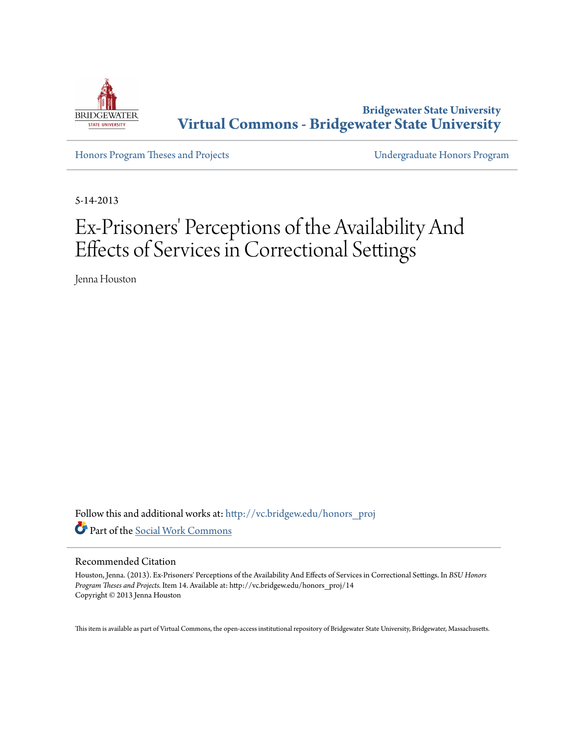

**Bridgewater State University [Virtual Commons - Bridgewater State University](http://vc.bridgew.edu?utm_source=vc.bridgew.edu%2Fhonors_proj%2F14&utm_medium=PDF&utm_campaign=PDFCoverPages)**

[Honors Program Theses and Projects](http://vc.bridgew.edu/honors_proj?utm_source=vc.bridgew.edu%2Fhonors_proj%2F14&utm_medium=PDF&utm_campaign=PDFCoverPages) [Undergraduate Honors Program](http://vc.bridgew.edu/honors?utm_source=vc.bridgew.edu%2Fhonors_proj%2F14&utm_medium=PDF&utm_campaign=PDFCoverPages)

5-14-2013

# Ex-Prisoners' Perceptions of the Availability And Effects of Services in Correctional Settings

Jenna Houston

Follow this and additional works at: [http://vc.bridgew.edu/honors\\_proj](http://vc.bridgew.edu/honors_proj?utm_source=vc.bridgew.edu%2Fhonors_proj%2F14&utm_medium=PDF&utm_campaign=PDFCoverPages) Part of the [Social Work Commons](http://network.bepress.com/hgg/discipline/713?utm_source=vc.bridgew.edu%2Fhonors_proj%2F14&utm_medium=PDF&utm_campaign=PDFCoverPages)

#### Recommended Citation

Houston, Jenna. (2013). Ex-Prisoners' Perceptions of the Availability And Effects of Services in Correctional Settings. In *BSU Honors Program Theses and Projects.* Item 14. Available at: http://vc.bridgew.edu/honors\_proj/14 Copyright © 2013 Jenna Houston

This item is available as part of Virtual Commons, the open-access institutional repository of Bridgewater State University, Bridgewater, Massachusetts.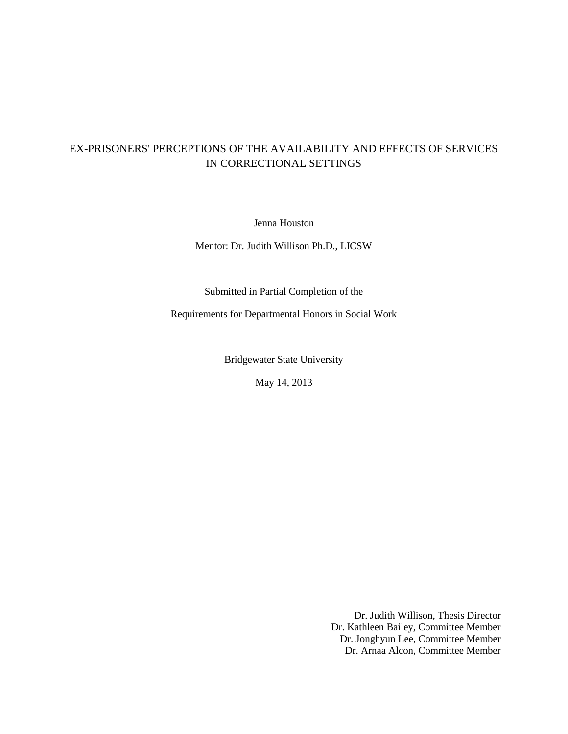## EX-PRISONERS' PERCEPTIONS OF THE AVAILABILITY AND EFFECTS OF SERVICES IN CORRECTIONAL SETTINGS

Jenna Houston

Mentor: Dr. Judith Willison Ph.D., LICSW

Submitted in Partial Completion of the

Requirements for Departmental Honors in Social Work

Bridgewater State University

May 14, 2013

Dr. Judith Willison, Thesis Director Dr. Kathleen Bailey, Committee Member Dr. Jonghyun Lee, Committee Member Dr. Arnaa Alcon, Committee Member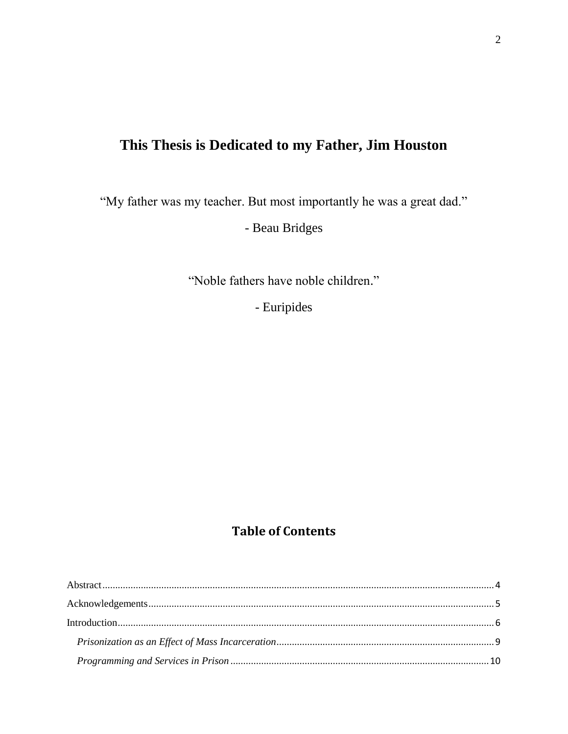## **This Thesis is Dedicated to my Father, Jim Houston**

"My father was my teacher. But most importantly he was a great dad."

- Beau Bridges

"Noble fathers have noble children."

- Euripides

## **Table of Contents**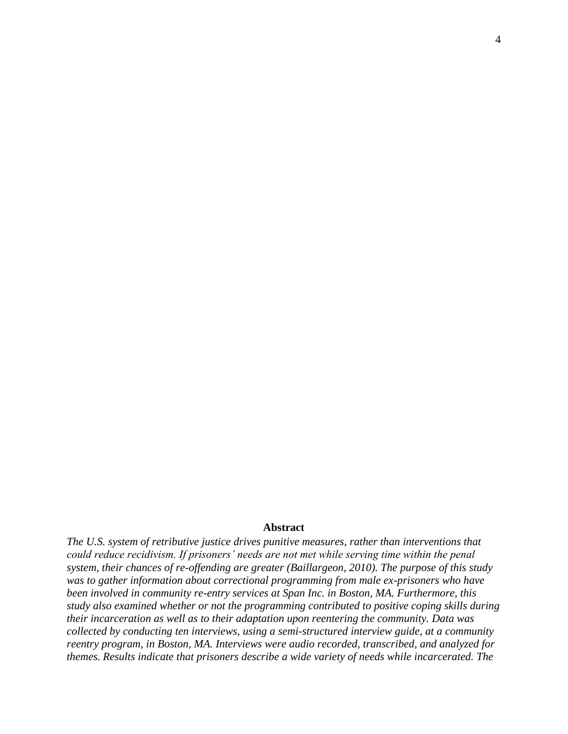#### **Abstract**

<span id="page-4-0"></span>*The U.S. system of retributive justice drives punitive measures, rather than interventions that could reduce recidivism. If prisoners' needs are not met while serving time within the penal system, their chances of re-offending are greater (Baillargeon, 2010). The purpose of this study was to gather information about correctional programming from male ex-prisoners who have been involved in community re-entry services at Span Inc. in Boston, MA. Furthermore, this study also examined whether or not the programming contributed to positive coping skills during their incarceration as well as to their adaptation upon reentering the community. Data was collected by conducting ten interviews, using a semi-structured interview guide, at a community reentry program, in Boston, MA. Interviews were audio recorded, transcribed, and analyzed for themes. Results indicate that prisoners describe a wide variety of needs while incarcerated. The*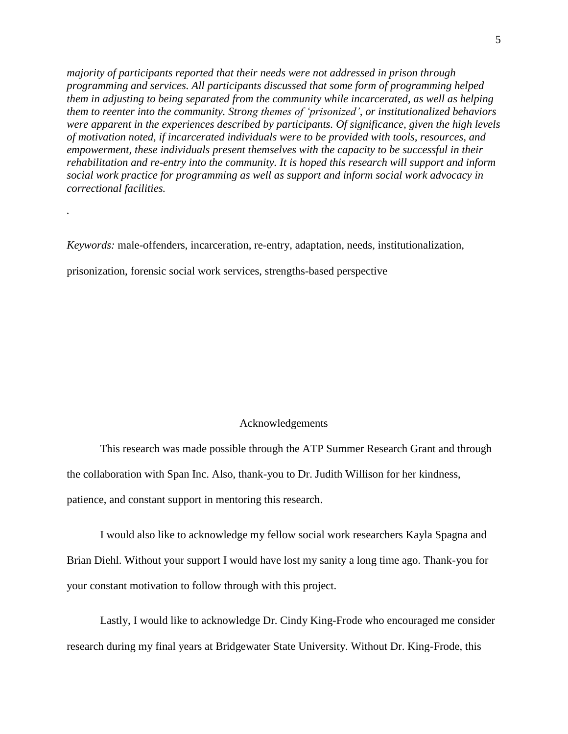*majority of participants reported that their needs were not addressed in prison through programming and services. All participants discussed that some form of programming helped them in adjusting to being separated from the community while incarcerated, as well as helping them to reenter into the community. Strong themes of 'prisonized', or institutionalized behaviors were apparent in the experiences described by participants. Of significance, given the high levels of motivation noted, if incarcerated individuals were to be provided with tools, resources, and empowerment, these individuals present themselves with the capacity to be successful in their rehabilitation and re-entry into the community. It is hoped this research will support and inform social work practice for programming as well as support and inform social work advocacy in correctional facilities.* 

*Keywords:* male-offenders, incarceration, re-entry, adaptation, needs, institutionalization,

prisonization, forensic social work services, strengths-based perspective

*.*

#### Acknowledgements

<span id="page-5-0"></span>This research was made possible through the ATP Summer Research Grant and through the collaboration with Span Inc. Also, thank-you to Dr. Judith Willison for her kindness, patience, and constant support in mentoring this research.

I would also like to acknowledge my fellow social work researchers Kayla Spagna and Brian Diehl. Without your support I would have lost my sanity a long time ago. Thank-you for your constant motivation to follow through with this project.

Lastly, I would like to acknowledge Dr. Cindy King-Frode who encouraged me consider research during my final years at Bridgewater State University. Without Dr. King-Frode, this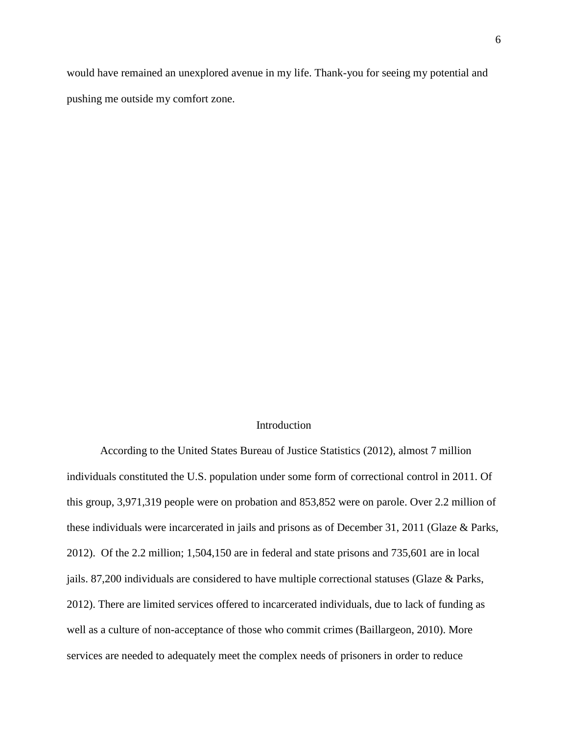would have remained an unexplored avenue in my life. Thank-you for seeing my potential and pushing me outside my comfort zone.

## Introduction

<span id="page-6-0"></span>According to the United States Bureau of Justice Statistics (2012), almost 7 million individuals constituted the U.S. population under some form of correctional control in 2011. Of this group, 3,971,319 people were on probation and 853,852 were on parole. Over 2.2 million of these individuals were incarcerated in jails and prisons as of December 31, 2011 (Glaze & Parks, 2012). Of the 2.2 million; 1,504,150 are in federal and state prisons and 735,601 are in local jails. 87,200 individuals are considered to have multiple correctional statuses (Glaze & Parks, 2012). There are limited services offered to incarcerated individuals, due to lack of funding as well as a culture of non-acceptance of those who commit crimes (Baillargeon, 2010). More services are needed to adequately meet the complex needs of prisoners in order to reduce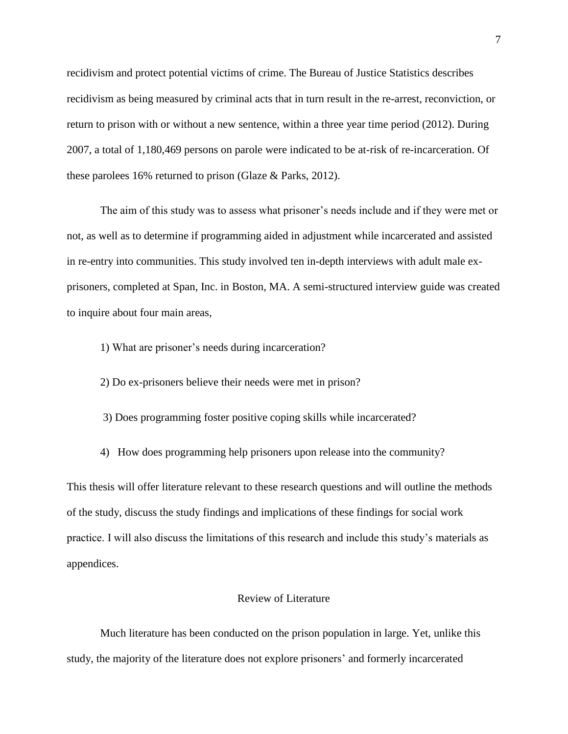recidivism and protect potential victims of crime. The Bureau of Justice Statistics describes recidivism as being measured by criminal acts that in turn result in the re-arrest, reconviction, or return to prison with or without a new sentence, within a three year time period (2012). During 2007, a total of 1,180,469 persons on parole were indicated to be at-risk of re-incarceration. Of these parolees 16% returned to prison (Glaze & Parks, 2012).

The aim of this study was to assess what prisoner's needs include and if they were met or not, as well as to determine if programming aided in adjustment while incarcerated and assisted in re-entry into communities. This study involved ten in-depth interviews with adult male exprisoners, completed at Span, Inc. in Boston, MA. A semi-structured interview guide was created to inquire about four main areas,

1) What are prisoner's needs during incarceration?

2) Do ex-prisoners believe their needs were met in prison?

3) Does programming foster positive coping skills while incarcerated?

4) How does programming help prisoners upon release into the community?

This thesis will offer literature relevant to these research questions and will outline the methods of the study, discuss the study findings and implications of these findings for social work practice. I will also discuss the limitations of this research and include this study's materials as appendices.

#### Review of Literature

Much literature has been conducted on the prison population in large. Yet, unlike this study, the majority of the literature does not explore prisoners' and formerly incarcerated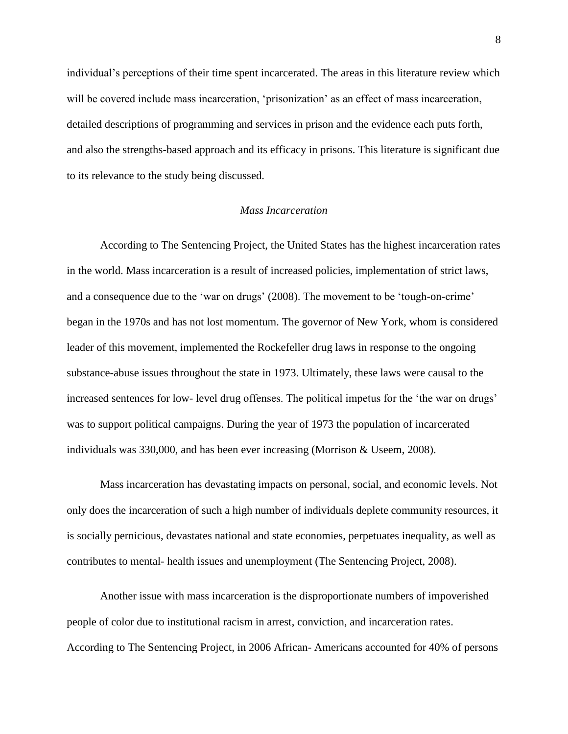individual's perceptions of their time spent incarcerated. The areas in this literature review which will be covered include mass incarceration, 'prisonization' as an effect of mass incarceration, detailed descriptions of programming and services in prison and the evidence each puts forth, and also the strengths-based approach and its efficacy in prisons. This literature is significant due to its relevance to the study being discussed.

#### *Mass Incarceration*

According to The Sentencing Project, the United States has the highest incarceration rates in the world. Mass incarceration is a result of increased policies, implementation of strict laws, and a consequence due to the 'war on drugs' (2008). The movement to be 'tough-on-crime' began in the 1970s and has not lost momentum. The governor of New York, whom is considered leader of this movement, implemented the Rockefeller drug laws in response to the ongoing substance-abuse issues throughout the state in 1973. Ultimately, these laws were causal to the increased sentences for low- level drug offenses. The political impetus for the 'the war on drugs' was to support political campaigns. During the year of 1973 the population of incarcerated individuals was 330,000, and has been ever increasing (Morrison & Useem, 2008).

Mass incarceration has devastating impacts on personal, social, and economic levels. Not only does the incarceration of such a high number of individuals deplete community resources, it is socially pernicious, devastates national and state economies, perpetuates inequality, as well as contributes to mental- health issues and unemployment (The Sentencing Project, 2008).

Another issue with mass incarceration is the disproportionate numbers of impoverished people of color due to institutional racism in arrest, conviction, and incarceration rates. According to The Sentencing Project, in 2006 African- Americans accounted for 40% of persons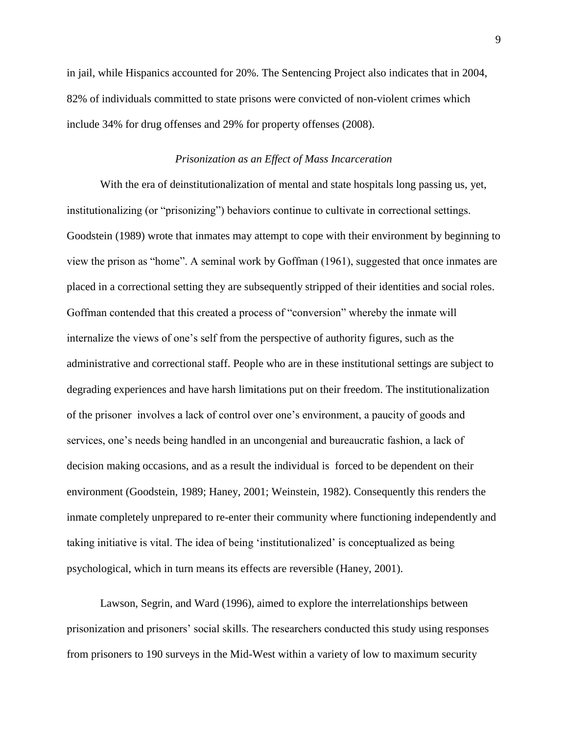in jail, while Hispanics accounted for 20%. The Sentencing Project also indicates that in 2004, 82% of individuals committed to state prisons were convicted of non-violent crimes which include 34% for drug offenses and 29% for property offenses (2008).

#### *Prisonization as an Effect of Mass Incarceration*

<span id="page-9-0"></span>With the era of deinstitutionalization of mental and state hospitals long passing us, yet, institutionalizing (or "prisonizing") behaviors continue to cultivate in correctional settings. Goodstein (1989) wrote that inmates may attempt to cope with their environment by beginning to view the prison as "home". A seminal work by Goffman (1961), suggested that once inmates are placed in a correctional setting they are subsequently stripped of their identities and social roles. Goffman contended that this created a process of "conversion" whereby the inmate will internalize the views of one's self from the perspective of authority figures, such as the administrative and correctional staff. People who are in these institutional settings are subject to degrading experiences and have harsh limitations put on their freedom. The institutionalization of the prisoner involves a lack of control over one's environment, a paucity of goods and services, one's needs being handled in an uncongenial and bureaucratic fashion, a lack of decision making occasions, and as a result the individual is forced to be dependent on their environment (Goodstein, 1989; Haney, 2001; Weinstein, 1982). Consequently this renders the inmate completely unprepared to re-enter their community where functioning independently and taking initiative is vital. The idea of being 'institutionalized' is conceptualized as being psychological, which in turn means its effects are reversible (Haney, 2001).

Lawson, Segrin, and Ward (1996), aimed to explore the interrelationships between prisonization and prisoners' social skills. The researchers conducted this study using responses from prisoners to 190 surveys in the Mid-West within a variety of low to maximum security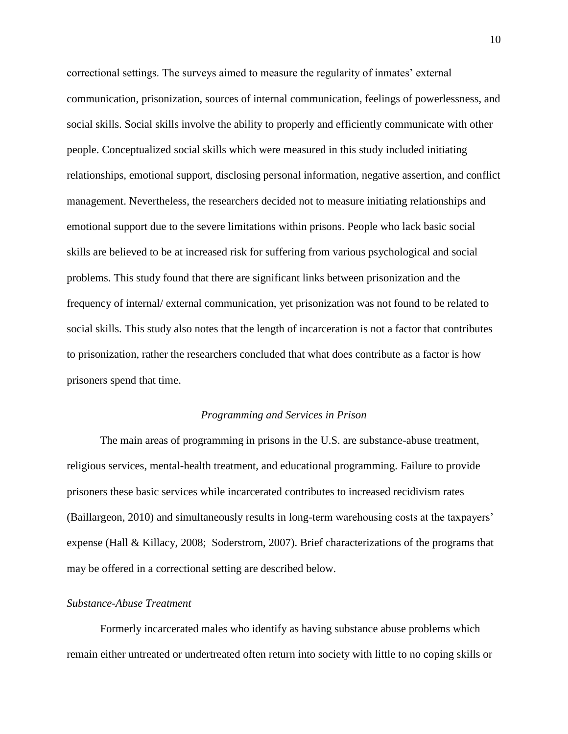correctional settings. The surveys aimed to measure the regularity of inmates' external communication, prisonization, sources of internal communication, feelings of powerlessness, and social skills. Social skills involve the ability to properly and efficiently communicate with other people. Conceptualized social skills which were measured in this study included initiating relationships, emotional support, disclosing personal information, negative assertion, and conflict management. Nevertheless, the researchers decided not to measure initiating relationships and emotional support due to the severe limitations within prisons. People who lack basic social skills are believed to be at increased risk for suffering from various psychological and social problems. This study found that there are significant links between prisonization and the frequency of internal/ external communication, yet prisonization was not found to be related to social skills. This study also notes that the length of incarceration is not a factor that contributes to prisonization, rather the researchers concluded that what does contribute as a factor is how prisoners spend that time.

## *Programming and Services in Prison*

<span id="page-10-0"></span>The main areas of programming in prisons in the U.S. are substance-abuse treatment, religious services, mental-health treatment, and educational programming. Failure to provide prisoners these basic services while incarcerated contributes to increased recidivism rates (Baillargeon, 2010) and simultaneously results in long-term warehousing costs at the taxpayers' expense (Hall & Killacy, 2008; Soderstrom, 2007). Brief characterizations of the programs that may be offered in a correctional setting are described below.

#### <span id="page-10-1"></span>*Substance-Abuse Treatment*

Formerly incarcerated males who identify as having substance abuse problems which remain either untreated or undertreated often return into society with little to no coping skills or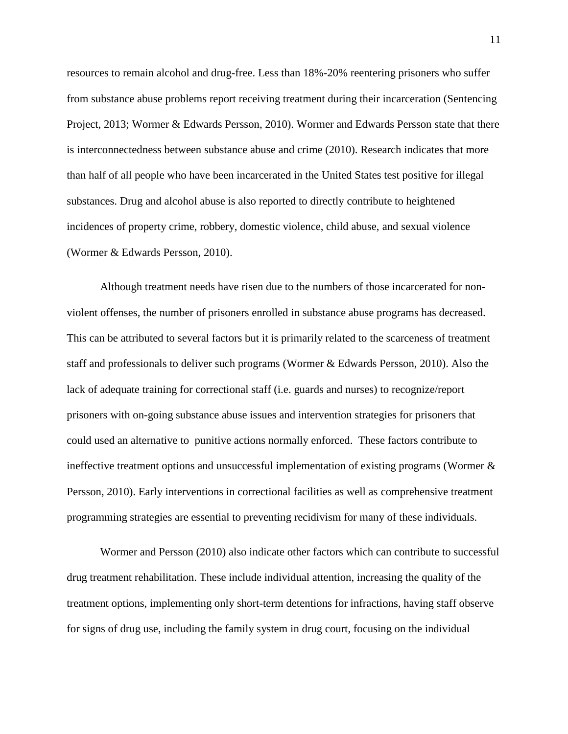resources to remain alcohol and drug-free. Less than 18%-20% reentering prisoners who suffer from substance abuse problems report receiving treatment during their incarceration (Sentencing Project, 2013; Wormer & Edwards Persson, 2010). Wormer and Edwards Persson state that there is interconnectedness between substance abuse and crime (2010). Research indicates that more than half of all people who have been incarcerated in the United States test positive for illegal substances. Drug and alcohol abuse is also reported to directly contribute to heightened incidences of property crime, robbery, domestic violence, child abuse, and sexual violence (Wormer & Edwards Persson, 2010).

Although treatment needs have risen due to the numbers of those incarcerated for nonviolent offenses, the number of prisoners enrolled in substance abuse programs has decreased. This can be attributed to several factors but it is primarily related to the scarceness of treatment staff and professionals to deliver such programs (Wormer & Edwards Persson, 2010). Also the lack of adequate training for correctional staff (i.e. guards and nurses) to recognize/report prisoners with on-going substance abuse issues and intervention strategies for prisoners that could used an alternative to punitive actions normally enforced. These factors contribute to ineffective treatment options and unsuccessful implementation of existing programs (Wormer & Persson, 2010). Early interventions in correctional facilities as well as comprehensive treatment programming strategies are essential to preventing recidivism for many of these individuals.

Wormer and Persson (2010) also indicate other factors which can contribute to successful drug treatment rehabilitation. These include individual attention, increasing the quality of the treatment options, implementing only short-term detentions for infractions, having staff observe for signs of drug use, including the family system in drug court, focusing on the individual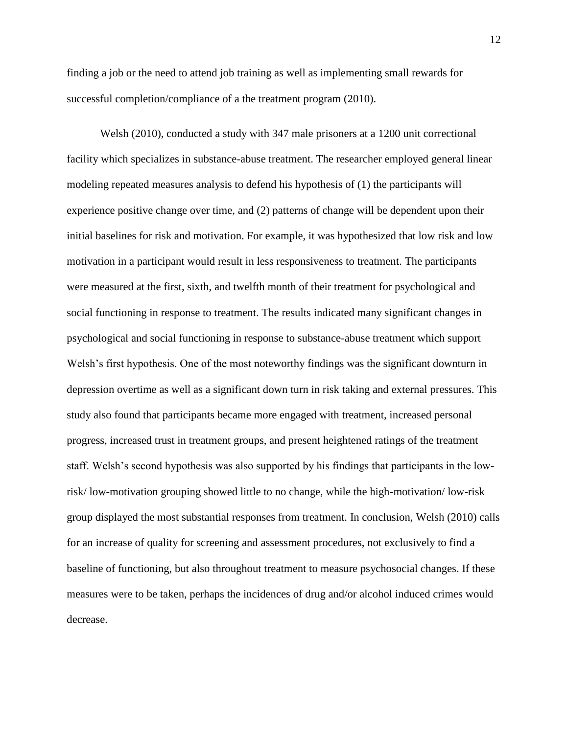finding a job or the need to attend job training as well as implementing small rewards for successful completion/compliance of a the treatment program (2010).

Welsh (2010), conducted a study with 347 male prisoners at a 1200 unit correctional facility which specializes in substance-abuse treatment. The researcher employed general linear modeling repeated measures analysis to defend his hypothesis of (1) the participants will experience positive change over time, and (2) patterns of change will be dependent upon their initial baselines for risk and motivation. For example, it was hypothesized that low risk and low motivation in a participant would result in less responsiveness to treatment. The participants were measured at the first, sixth, and twelfth month of their treatment for psychological and social functioning in response to treatment. The results indicated many significant changes in psychological and social functioning in response to substance-abuse treatment which support Welsh's first hypothesis. One of the most noteworthy findings was the significant downturn in depression overtime as well as a significant down turn in risk taking and external pressures. This study also found that participants became more engaged with treatment, increased personal progress, increased trust in treatment groups, and present heightened ratings of the treatment staff. Welsh's second hypothesis was also supported by his findings that participants in the lowrisk/ low-motivation grouping showed little to no change, while the high-motivation/ low-risk group displayed the most substantial responses from treatment. In conclusion, Welsh (2010) calls for an increase of quality for screening and assessment procedures, not exclusively to find a baseline of functioning, but also throughout treatment to measure psychosocial changes. If these measures were to be taken, perhaps the incidences of drug and/or alcohol induced crimes would decrease.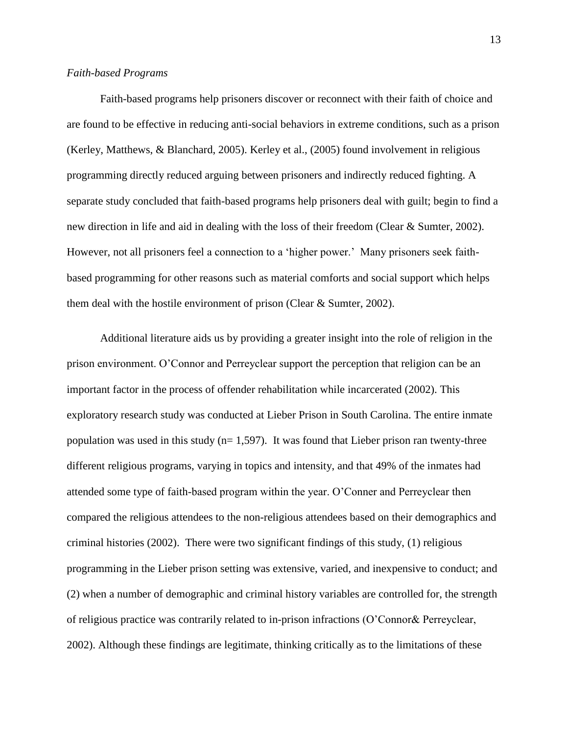#### <span id="page-13-0"></span>*Faith-based Programs*

Faith-based programs help prisoners discover or reconnect with their faith of choice and are found to be effective in reducing anti-social behaviors in extreme conditions, such as a prison (Kerley, Matthews, & Blanchard, 2005). Kerley et al., (2005) found involvement in religious programming directly reduced arguing between prisoners and indirectly reduced fighting. A separate study concluded that faith-based programs help prisoners deal with guilt; begin to find a new direction in life and aid in dealing with the loss of their freedom (Clear & Sumter, 2002). However, not all prisoners feel a connection to a 'higher power.' Many prisoners seek faithbased programming for other reasons such as material comforts and social support which helps them deal with the hostile environment of prison (Clear & Sumter, 2002).

Additional literature aids us by providing a greater insight into the role of religion in the prison environment. O'Connor and Perreyclear support the perception that religion can be an important factor in the process of offender rehabilitation while incarcerated (2002). This exploratory research study was conducted at Lieber Prison in South Carolina. The entire inmate population was used in this study ( $n= 1,597$ ). It was found that Lieber prison ran twenty-three different religious programs, varying in topics and intensity, and that 49% of the inmates had attended some type of faith-based program within the year. O'Conner and Perreyclear then compared the religious attendees to the non-religious attendees based on their demographics and criminal histories (2002). There were two significant findings of this study, (1) religious programming in the Lieber prison setting was extensive, varied, and inexpensive to conduct; and (2) when a number of demographic and criminal history variables are controlled for, the strength of religious practice was contrarily related to in-prison infractions (O'Connor& Perreyclear, 2002). Although these findings are legitimate, thinking critically as to the limitations of these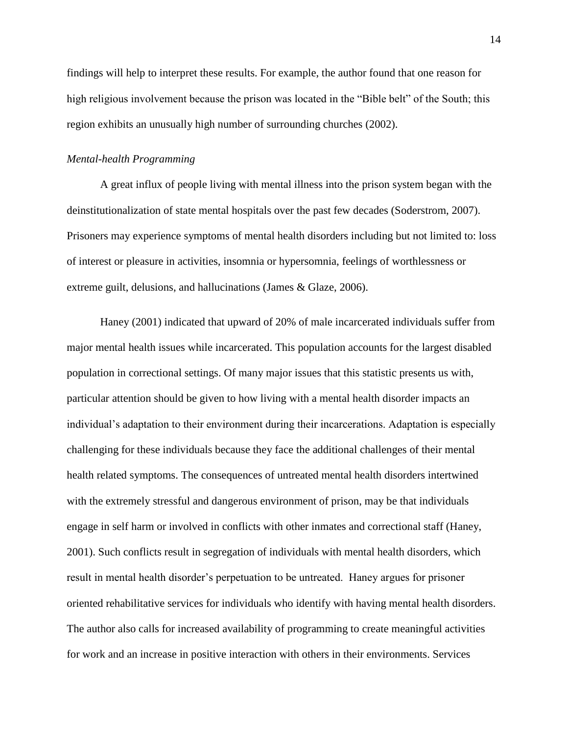findings will help to interpret these results. For example, the author found that one reason for high religious involvement because the prison was located in the "Bible belt" of the South; this region exhibits an unusually high number of surrounding churches (2002).

## <span id="page-14-0"></span>*Mental-health Programming*

A great influx of people living with mental illness into the prison system began with the deinstitutionalization of state mental hospitals over the past few decades (Soderstrom, 2007). Prisoners may experience symptoms of mental health disorders including but not limited to: loss of interest or pleasure in activities, insomnia or hypersomnia, feelings of worthlessness or extreme guilt, delusions, and hallucinations (James & Glaze, 2006).

Haney (2001) indicated that upward of 20% of male incarcerated individuals suffer from major mental health issues while incarcerated. This population accounts for the largest disabled population in correctional settings. Of many major issues that this statistic presents us with, particular attention should be given to how living with a mental health disorder impacts an individual's adaptation to their environment during their incarcerations. Adaptation is especially challenging for these individuals because they face the additional challenges of their mental health related symptoms. The consequences of untreated mental health disorders intertwined with the extremely stressful and dangerous environment of prison, may be that individuals engage in self harm or involved in conflicts with other inmates and correctional staff (Haney, 2001). Such conflicts result in segregation of individuals with mental health disorders, which result in mental health disorder's perpetuation to be untreated. Haney argues for prisoner oriented rehabilitative services for individuals who identify with having mental health disorders. The author also calls for increased availability of programming to create meaningful activities for work and an increase in positive interaction with others in their environments. Services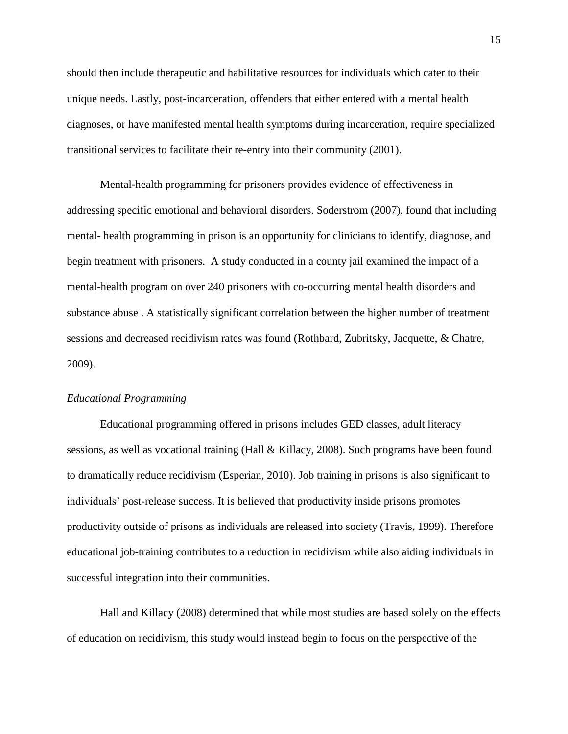should then include therapeutic and habilitative resources for individuals which cater to their unique needs. Lastly, post-incarceration, offenders that either entered with a mental health diagnoses, or have manifested mental health symptoms during incarceration, require specialized transitional services to facilitate their re-entry into their community (2001).

Mental-health programming for prisoners provides evidence of effectiveness in addressing specific emotional and behavioral disorders. Soderstrom (2007), found that including mental- health programming in prison is an opportunity for clinicians to identify, diagnose, and begin treatment with prisoners. A study conducted in a county jail examined the impact of a mental-health program on over 240 prisoners with co-occurring mental health disorders and substance abuse . A statistically significant correlation between the higher number of treatment sessions and decreased recidivism rates was found (Rothbard, Zubritsky, Jacquette, & Chatre, 2009).

## <span id="page-15-0"></span>*Educational Programming*

Educational programming offered in prisons includes GED classes, adult literacy sessions, as well as vocational training (Hall & Killacy, 2008). Such programs have been found to dramatically reduce recidivism (Esperian, 2010). Job training in prisons is also significant to individuals' post-release success. It is believed that productivity inside prisons promotes productivity outside of prisons as individuals are released into society (Travis, 1999). Therefore educational job-training contributes to a reduction in recidivism while also aiding individuals in successful integration into their communities.

Hall and Killacy (2008) determined that while most studies are based solely on the effects of education on recidivism, this study would instead begin to focus on the perspective of the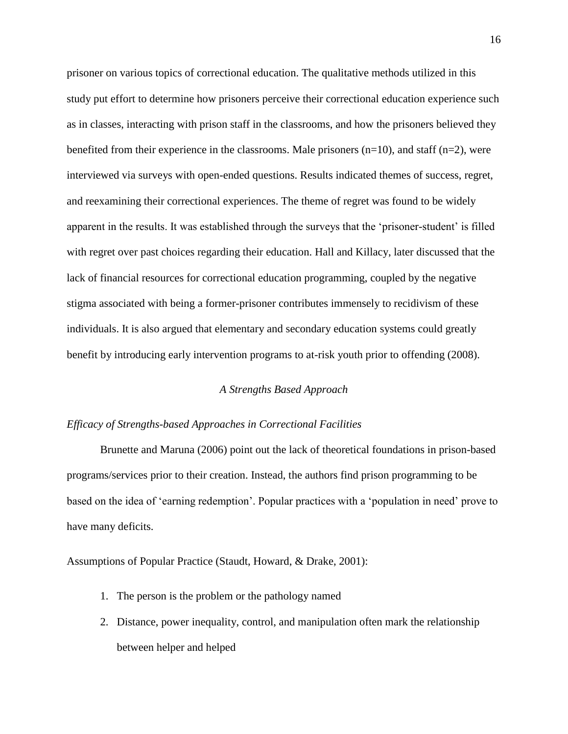prisoner on various topics of correctional education. The qualitative methods utilized in this study put effort to determine how prisoners perceive their correctional education experience such as in classes, interacting with prison staff in the classrooms, and how the prisoners believed they benefited from their experience in the classrooms. Male prisoners  $(n=10)$ , and staff  $(n=2)$ , were interviewed via surveys with open-ended questions. Results indicated themes of success, regret, and reexamining their correctional experiences. The theme of regret was found to be widely apparent in the results. It was established through the surveys that the 'prisoner-student' is filled with regret over past choices regarding their education. Hall and Killacy, later discussed that the lack of financial resources for correctional education programming, coupled by the negative stigma associated with being a former-prisoner contributes immensely to recidivism of these individuals. It is also argued that elementary and secondary education systems could greatly benefit by introducing early intervention programs to at-risk youth prior to offending (2008).

#### *A Strengths Based Approach*

#### <span id="page-16-1"></span><span id="page-16-0"></span>*Efficacy of Strengths-based Approaches in Correctional Facilities*

Brunette and Maruna (2006) point out the lack of theoretical foundations in prison-based programs/services prior to their creation. Instead, the authors find prison programming to be based on the idea of 'earning redemption'. Popular practices with a 'population in need' prove to have many deficits.

Assumptions of Popular Practice (Staudt, Howard, & Drake, 2001):

- 1. The person is the problem or the pathology named
- 2. Distance, power inequality, control, and manipulation often mark the relationship between helper and helped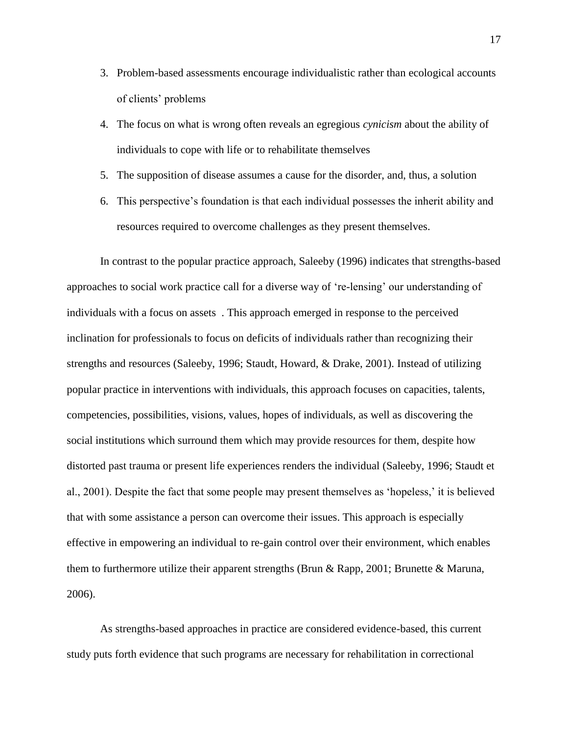- 3. Problem-based assessments encourage individualistic rather than ecological accounts of clients' problems
- 4. The focus on what is wrong often reveals an egregious *cynicism* about the ability of individuals to cope with life or to rehabilitate themselves
- 5. The supposition of disease assumes a cause for the disorder, and, thus, a solution
- 6. This perspective's foundation is that each individual possesses the inherit ability and resources required to overcome challenges as they present themselves.

In contrast to the popular practice approach, Saleeby (1996) indicates that strengths-based approaches to social work practice call for a diverse way of 're-lensing' our understanding of individuals with a focus on assets . This approach emerged in response to the perceived inclination for professionals to focus on deficits of individuals rather than recognizing their strengths and resources (Saleeby, 1996; Staudt, Howard, & Drake, 2001). Instead of utilizing popular practice in interventions with individuals, this approach focuses on capacities, talents, competencies, possibilities, visions, values, hopes of individuals, as well as discovering the social institutions which surround them which may provide resources for them, despite how distorted past trauma or present life experiences renders the individual (Saleeby, 1996; Staudt et al., 2001). Despite the fact that some people may present themselves as 'hopeless,' it is believed that with some assistance a person can overcome their issues. This approach is especially effective in empowering an individual to re-gain control over their environment, which enables them to furthermore utilize their apparent strengths (Brun & Rapp, 2001; Brunette & Maruna, 2006).

As strengths-based approaches in practice are considered evidence-based, this current study puts forth evidence that such programs are necessary for rehabilitation in correctional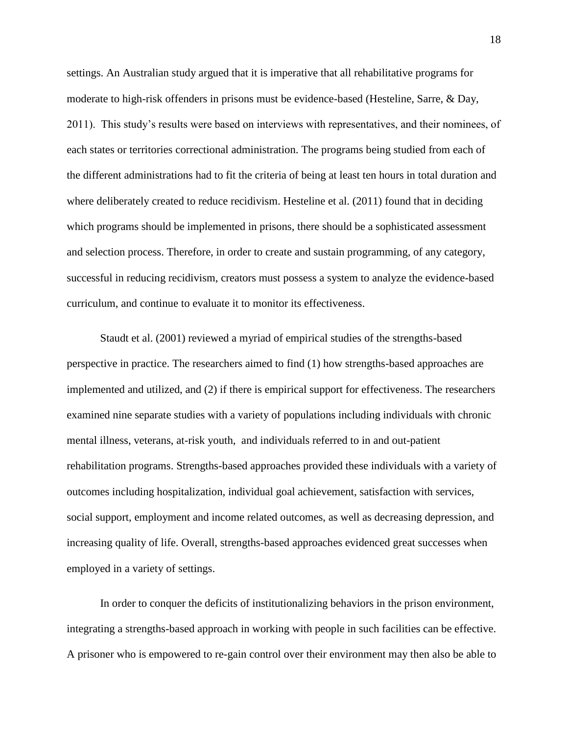settings. An Australian study argued that it is imperative that all rehabilitative programs for moderate to high-risk offenders in prisons must be evidence-based (Hesteline, Sarre, & Day, 2011). This study's results were based on interviews with representatives, and their nominees, of each states or territories correctional administration. The programs being studied from each of the different administrations had to fit the criteria of being at least ten hours in total duration and where deliberately created to reduce recidivism. Hesteline et al. (2011) found that in deciding which programs should be implemented in prisons, there should be a sophisticated assessment and selection process. Therefore, in order to create and sustain programming, of any category, successful in reducing recidivism, creators must possess a system to analyze the evidence-based curriculum, and continue to evaluate it to monitor its effectiveness.

Staudt et al. (2001) reviewed a myriad of empirical studies of the strengths-based perspective in practice. The researchers aimed to find (1) how strengths-based approaches are implemented and utilized, and (2) if there is empirical support for effectiveness. The researchers examined nine separate studies with a variety of populations including individuals with chronic mental illness, veterans, at-risk youth, and individuals referred to in and out-patient rehabilitation programs. Strengths-based approaches provided these individuals with a variety of outcomes including hospitalization, individual goal achievement, satisfaction with services, social support, employment and income related outcomes, as well as decreasing depression, and increasing quality of life. Overall, strengths-based approaches evidenced great successes when employed in a variety of settings.

In order to conquer the deficits of institutionalizing behaviors in the prison environment, integrating a strengths-based approach in working with people in such facilities can be effective. A prisoner who is empowered to re-gain control over their environment may then also be able to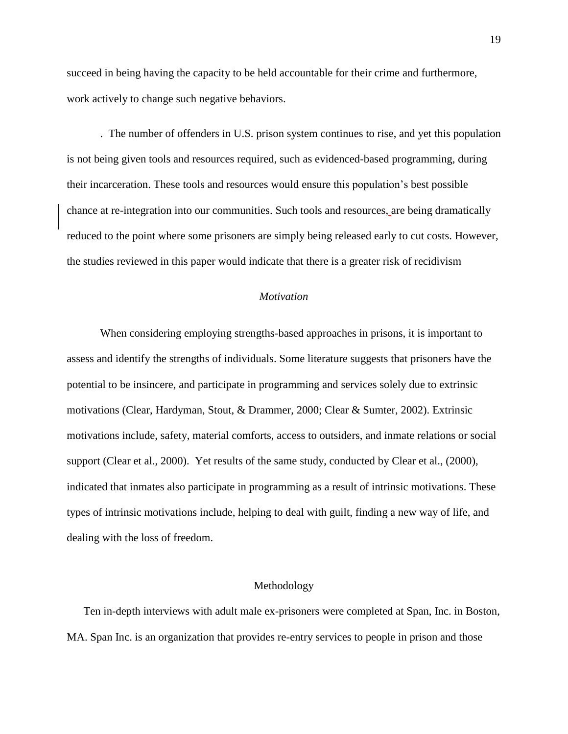succeed in being having the capacity to be held accountable for their crime and furthermore, work actively to change such negative behaviors.

. The number of offenders in U.S. prison system continues to rise, and yet this population is not being given tools and resources required, such as evidenced-based programming, during their incarceration. These tools and resources would ensure this population's best possible chance at re-integration into our communities. Such tools and resources, are being dramatically reduced to the point where some prisoners are simply being released early to cut costs. However, the studies reviewed in this paper would indicate that there is a greater risk of recidivism

## *Motivation*

<span id="page-19-0"></span>When considering employing strengths-based approaches in prisons, it is important to assess and identify the strengths of individuals. Some literature suggests that prisoners have the potential to be insincere, and participate in programming and services solely due to extrinsic motivations (Clear, Hardyman, Stout, & Drammer, 2000; Clear & Sumter, 2002). Extrinsic motivations include, safety, material comforts, access to outsiders, and inmate relations or social support (Clear et al., 2000). Yet results of the same study, conducted by Clear et al., (2000), indicated that inmates also participate in programming as a result of intrinsic motivations. These types of intrinsic motivations include, helping to deal with guilt, finding a new way of life, and dealing with the loss of freedom.

#### Methodology

<span id="page-19-1"></span>Ten in-depth interviews with adult male ex-prisoners were completed at Span, Inc. in Boston, MA. Span Inc. is an organization that provides re-entry services to people in prison and those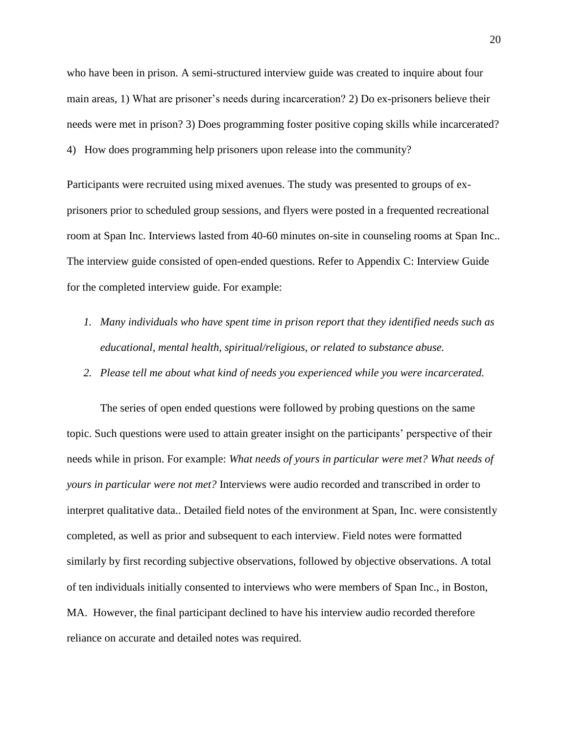who have been in prison. A semi-structured interview guide was created to inquire about four main areas, 1) What are prisoner's needs during incarceration? 2) Do ex-prisoners believe their needs were met in prison? 3) Does programming foster positive coping skills while incarcerated? 4) How does programming help prisoners upon release into the community?

Participants were recruited using mixed avenues. The study was presented to groups of exprisoners prior to scheduled group sessions, and flyers were posted in a frequented recreational room at Span Inc. Interviews lasted from 40-60 minutes on-site in counseling rooms at Span Inc.. The interview guide consisted of open-ended questions. Refer to Appendix C: Interview Guide for the completed interview guide. For example:

- *1. Many individuals who have spent time in prison report that they identified needs such as educational, mental health, spiritual/religious, or related to substance abuse.*
- *2. Please tell me about what kind of needs you experienced while you were incarcerated.*

The series of open ended questions were followed by probing questions on the same topic. Such questions were used to attain greater insight on the participants' perspective of their needs while in prison. For example: *What needs of yours in particular were met? What needs of yours in particular were not met?* Interviews were audio recorded and transcribed in order to interpret qualitative data.. Detailed field notes of the environment at Span, Inc. were consistently completed, as well as prior and subsequent to each interview. Field notes were formatted similarly by first recording subjective observations, followed by objective observations. A total of ten individuals initially consented to interviews who were members of Span Inc., in Boston, MA. However, the final participant declined to have his interview audio recorded therefore reliance on accurate and detailed notes was required.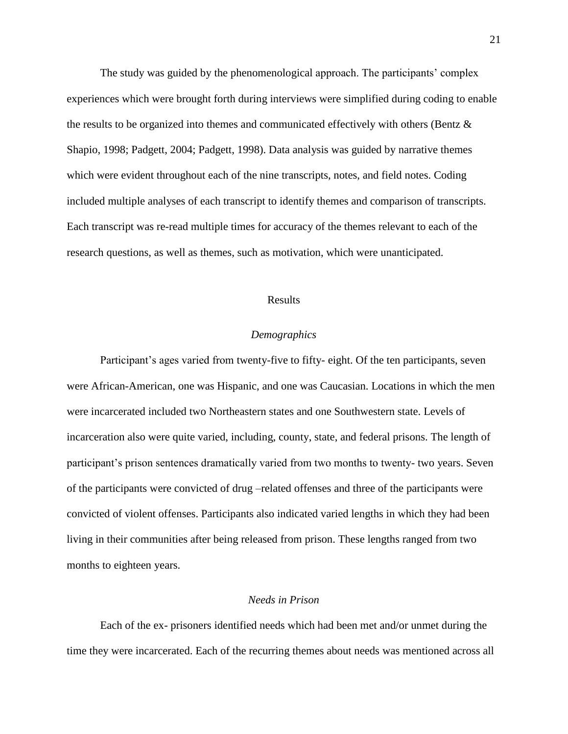The study was guided by the phenomenological approach. The participants' complex experiences which were brought forth during interviews were simplified during coding to enable the results to be organized into themes and communicated effectively with others (Bentz & Shapio, 1998; Padgett, 2004; Padgett, 1998). Data analysis was guided by narrative themes which were evident throughout each of the nine transcripts, notes, and field notes. Coding included multiple analyses of each transcript to identify themes and comparison of transcripts. Each transcript was re-read multiple times for accuracy of the themes relevant to each of the research questions, as well as themes, such as motivation, which were unanticipated.

#### Results

#### *Demographics*

<span id="page-21-1"></span><span id="page-21-0"></span>Participant's ages varied from twenty-five to fifty- eight. Of the ten participants, seven were African-American, one was Hispanic, and one was Caucasian. Locations in which the men were incarcerated included two Northeastern states and one Southwestern state. Levels of incarceration also were quite varied, including, county, state, and federal prisons. The length of participant's prison sentences dramatically varied from two months to twenty- two years. Seven of the participants were convicted of drug –related offenses and three of the participants were convicted of violent offenses. Participants also indicated varied lengths in which they had been living in their communities after being released from prison. These lengths ranged from two months to eighteen years.

#### *Needs in Prison*

<span id="page-21-2"></span>Each of the ex- prisoners identified needs which had been met and/or unmet during the time they were incarcerated. Each of the recurring themes about needs was mentioned across all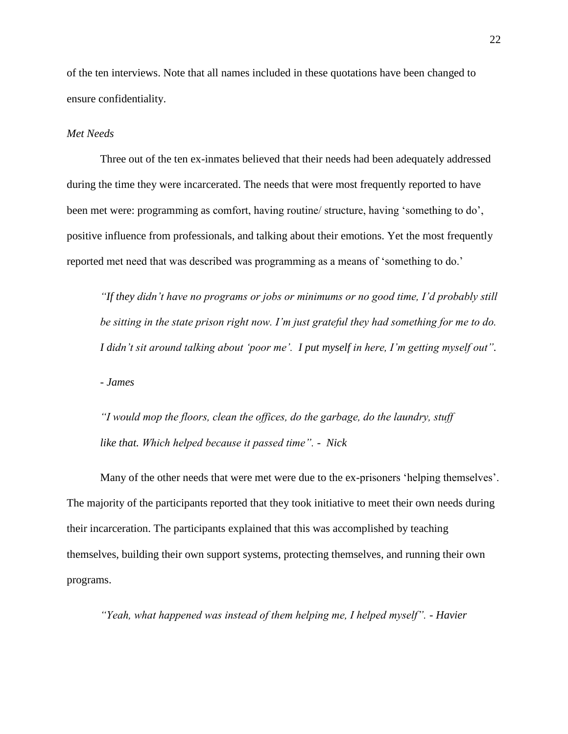of the ten interviews. Note that all names included in these quotations have been changed to ensure confidentiality.

#### <span id="page-22-0"></span>*Met Needs*

Three out of the ten ex-inmates believed that their needs had been adequately addressed during the time they were incarcerated. The needs that were most frequently reported to have been met were: programming as comfort, having routine/ structure, having 'something to do', positive influence from professionals, and talking about their emotions. Yet the most frequently reported met need that was described was programming as a means of 'something to do.'

*"If they didn't have no programs or jobs or minimums or no good time, I'd probably still be sitting in the state prison right now. I'm just grateful they had something for me to do. I didn't sit around talking about 'poor me'. I put myself in here, I'm getting myself out".*

*- James*

*"I would mop the floors, clean the offices, do the garbage, do the laundry, stuff like that. Which helped because it passed time". - Nick*

Many of the other needs that were met were due to the ex-prisoners 'helping themselves'. The majority of the participants reported that they took initiative to meet their own needs during their incarceration. The participants explained that this was accomplished by teaching themselves, building their own support systems, protecting themselves, and running their own programs.

*"Yeah, what happened was instead of them helping me, I helped myself". - Havier*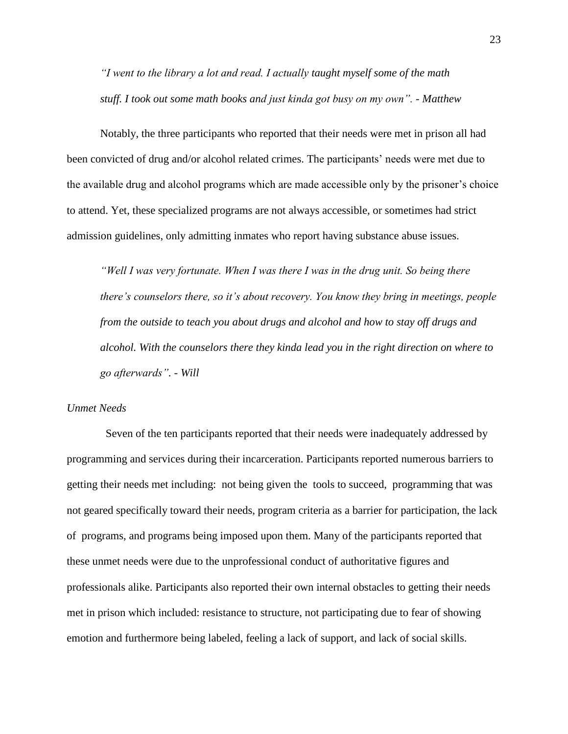*"I went to the library a lot and read. I actually taught myself some of the math stuff. I took out some math books and just kinda got busy on my own". - Matthew*

Notably, the three participants who reported that their needs were met in prison all had been convicted of drug and/or alcohol related crimes. The participants' needs were met due to the available drug and alcohol programs which are made accessible only by the prisoner's choice to attend. Yet, these specialized programs are not always accessible, or sometimes had strict admission guidelines, only admitting inmates who report having substance abuse issues.

*"Well I was very fortunate. When I was there I was in the drug unit. So being there there's counselors there, so it's about recovery. You know they bring in meetings, people from the outside to teach you about drugs and alcohol and how to stay off drugs and alcohol. With the counselors there they kinda lead you in the right direction on where to go afterwards". - Will*

#### <span id="page-23-0"></span>*Unmet Needs*

Seven of the ten participants reported that their needs were inadequately addressed by programming and services during their incarceration. Participants reported numerous barriers to getting their needs met including: not being given the tools to succeed, programming that was not geared specifically toward their needs, program criteria as a barrier for participation, the lack of programs, and programs being imposed upon them. Many of the participants reported that these unmet needs were due to the unprofessional conduct of authoritative figures and professionals alike. Participants also reported their own internal obstacles to getting their needs met in prison which included: resistance to structure, not participating due to fear of showing emotion and furthermore being labeled, feeling a lack of support, and lack of social skills.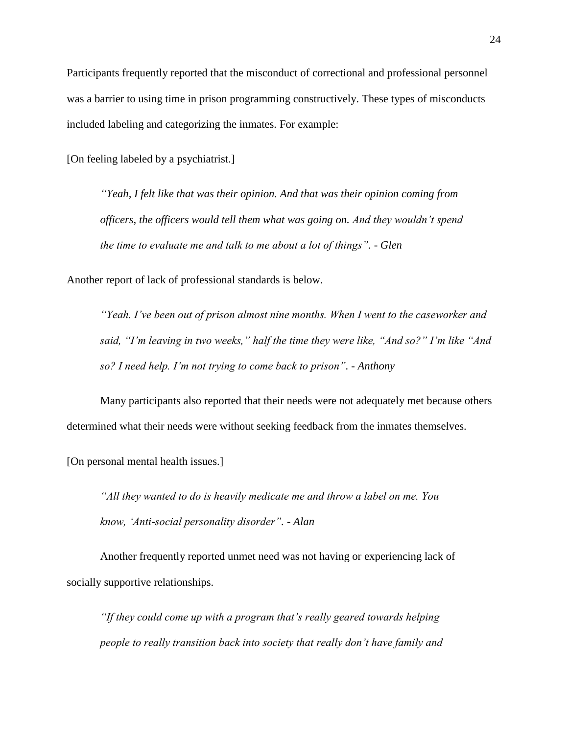Participants frequently reported that the misconduct of correctional and professional personnel was a barrier to using time in prison programming constructively. These types of misconducts included labeling and categorizing the inmates. For example:

[On feeling labeled by a psychiatrist.]

*"Yeah, I felt like that was their opinion. And that was their opinion coming from officers, the officers would tell them what was going on. And they wouldn't spend the time to evaluate me and talk to me about a lot of things". - Glen*

Another report of lack of professional standards is below.

*"Yeah. I've been out of prison almost nine months. When I went to the caseworker and said, "I'm leaving in two weeks," half the time they were like, "And so?" I'm like "And so? I need help. I'm not trying to come back to prison". - Anthony*

Many participants also reported that their needs were not adequately met because others determined what their needs were without seeking feedback from the inmates themselves.

[On personal mental health issues.]

*"All they wanted to do is heavily medicate me and throw a label on me. You know, 'Anti-social personality disorder". - Alan*

Another frequently reported unmet need was not having or experiencing lack of socially supportive relationships.

*"If they could come up with a program that's really geared towards helping people to really transition back into society that really don't have family and*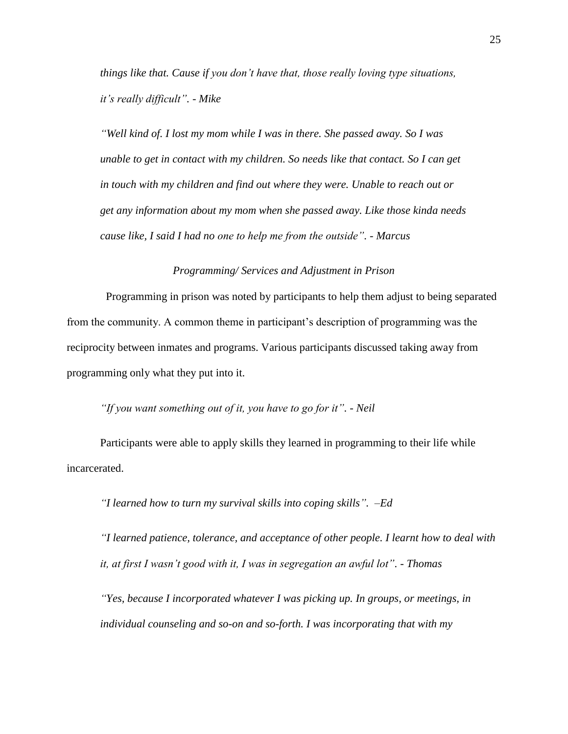*things like that. Cause if you don't have that, those really loving type situations, it's really difficult". - Mike*

*"Well kind of. I lost my mom while I was in there. She passed away. So I was unable to get in contact with my children. So needs like that contact. So I can get in touch with my children and find out where they were. Unable to reach out or get any information about my mom when she passed away. Like those kinda needs cause like, I said I had no one to help me from the outside". - Marcus*

#### *Programming/ Services and Adjustment in Prison*

<span id="page-25-0"></span>Programming in prison was noted by participants to help them adjust to being separated from the community. A common theme in participant's description of programming was the reciprocity between inmates and programs. Various participants discussed taking away from programming only what they put into it.

## *"If you want something out of it, you have to go for it". - Neil*

Participants were able to apply skills they learned in programming to their life while incarcerated.

*"I learned how to turn my survival skills into coping skills". –Ed*

*"I learned patience, tolerance, and acceptance of other people. I learnt how to deal with it, at first I wasn't good with it, I was in segregation an awful lot". - Thomas*

*"Yes, because I incorporated whatever I was picking up. In groups, or meetings, in individual counseling and so-on and so-forth. I was incorporating that with my*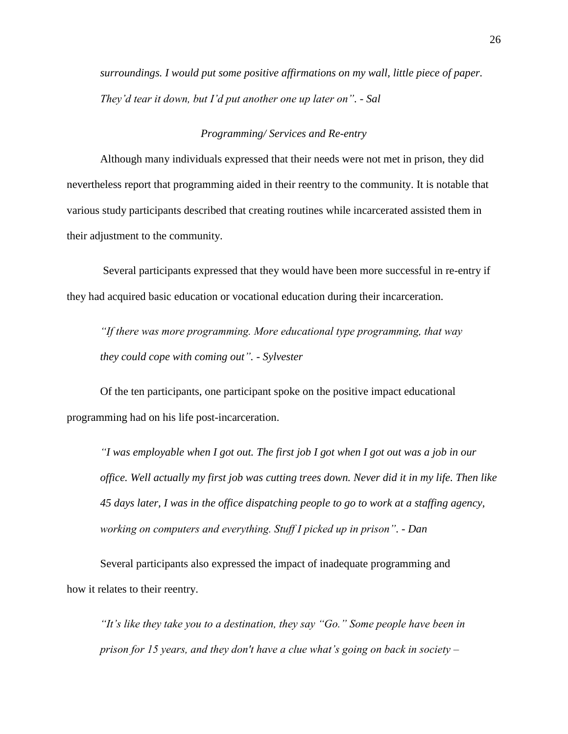*surroundings. I would put some positive affirmations on my wall, little piece of paper. They'd tear it down, but I'd put another one up later on". - Sal*

#### *Programming/ Services and Re-entry*

<span id="page-26-0"></span>Although many individuals expressed that their needs were not met in prison, they did nevertheless report that programming aided in their reentry to the community. It is notable that various study participants described that creating routines while incarcerated assisted them in their adjustment to the community.

Several participants expressed that they would have been more successful in re-entry if they had acquired basic education or vocational education during their incarceration.

*"If there was more programming. More educational type programming, that way they could cope with coming out". - Sylvester*

Of the ten participants, one participant spoke on the positive impact educational programming had on his life post-incarceration.

*"I was employable when I got out. The first job I got when I got out was a job in our office. Well actually my first job was cutting trees down. Never did it in my life. Then like 45 days later, I was in the office dispatching people to go to work at a staffing agency, working on computers and everything. Stuff I picked up in prison". - Dan*

Several participants also expressed the impact of inadequate programming and how it relates to their reentry.

*"It's like they take you to a destination, they say "Go." Some people have been in prison for 15 years, and they don't have a clue what's going on back in society –*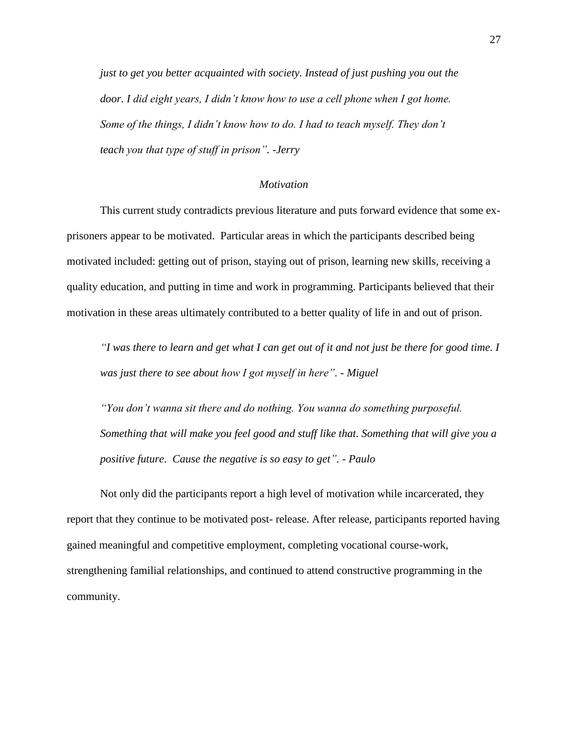*just to get you better acquainted with society. Instead of just pushing you out the door. I did eight years, I didn't know how to use a cell phone when I got home. Some of the things, I didn't know how to do. I had to teach myself. They don't teach you that type of stuff in prison". -Jerry*

#### *Motivation*

<span id="page-27-0"></span>This current study contradicts previous literature and puts forward evidence that some exprisoners appear to be motivated. Particular areas in which the participants described being motivated included: getting out of prison, staying out of prison, learning new skills, receiving a quality education, and putting in time and work in programming. Participants believed that their motivation in these areas ultimately contributed to a better quality of life in and out of prison.

*"I was there to learn and get what I can get out of it and not just be there for good time. I was just there to see about how I got myself in here". - Miguel*

*"You don't wanna sit there and do nothing. You wanna do something purposeful. Something that will make you feel good and stuff like that. Something that will give you a positive future. Cause the negative is so easy to get". - Paulo*

Not only did the participants report a high level of motivation while incarcerated, they report that they continue to be motivated post- release. After release, participants reported having gained meaningful and competitive employment, completing vocational course-work, strengthening familial relationships, and continued to attend constructive programming in the community.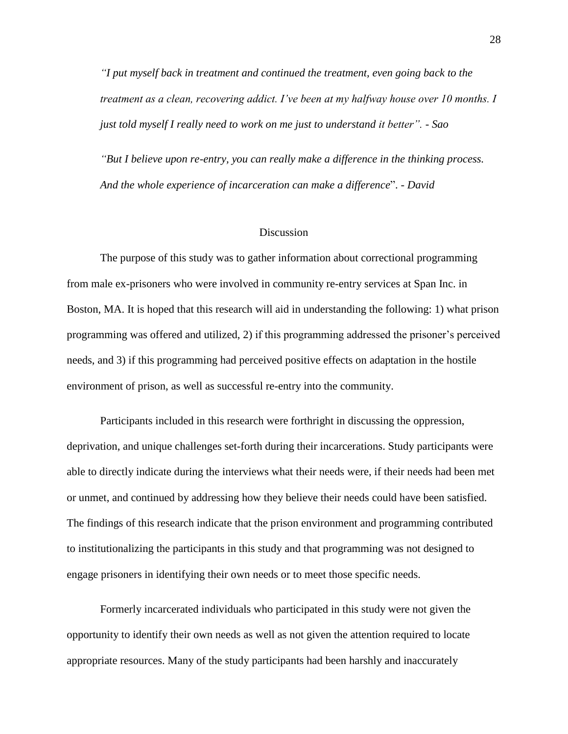*"I put myself back in treatment and continued the treatment, even going back to the treatment as a clean, recovering addict. I've been at my halfway house over 10 months. I just told myself I really need to work on me just to understand it better".* - *Sao*

*"But I believe upon re-entry, you can really make a difference in the thinking process. And the whole experience of incarceration can make a difference*". - *David*

#### **Discussion**

<span id="page-28-0"></span>The purpose of this study was to gather information about correctional programming from male ex-prisoners who were involved in community re-entry services at Span Inc. in Boston, MA. It is hoped that this research will aid in understanding the following: 1) what prison programming was offered and utilized, 2) if this programming addressed the prisoner's perceived needs, and 3) if this programming had perceived positive effects on adaptation in the hostile environment of prison, as well as successful re-entry into the community.

Participants included in this research were forthright in discussing the oppression, deprivation, and unique challenges set-forth during their incarcerations. Study participants were able to directly indicate during the interviews what their needs were, if their needs had been met or unmet, and continued by addressing how they believe their needs could have been satisfied. The findings of this research indicate that the prison environment and programming contributed to institutionalizing the participants in this study and that programming was not designed to engage prisoners in identifying their own needs or to meet those specific needs.

Formerly incarcerated individuals who participated in this study were not given the opportunity to identify their own needs as well as not given the attention required to locate appropriate resources. Many of the study participants had been harshly and inaccurately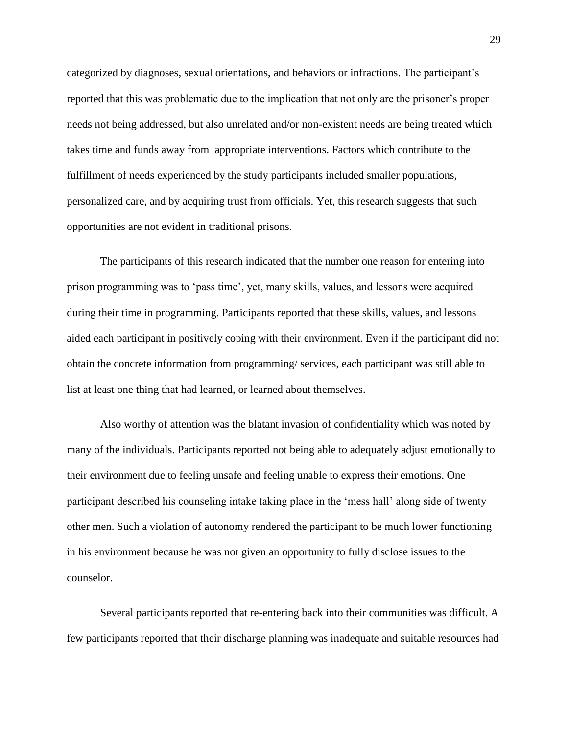categorized by diagnoses, sexual orientations, and behaviors or infractions. The participant's reported that this was problematic due to the implication that not only are the prisoner's proper needs not being addressed, but also unrelated and/or non-existent needs are being treated which takes time and funds away from appropriate interventions. Factors which contribute to the fulfillment of needs experienced by the study participants included smaller populations, personalized care, and by acquiring trust from officials. Yet, this research suggests that such opportunities are not evident in traditional prisons.

The participants of this research indicated that the number one reason for entering into prison programming was to 'pass time', yet, many skills, values, and lessons were acquired during their time in programming. Participants reported that these skills, values, and lessons aided each participant in positively coping with their environment. Even if the participant did not obtain the concrete information from programming/ services, each participant was still able to list at least one thing that had learned, or learned about themselves.

Also worthy of attention was the blatant invasion of confidentiality which was noted by many of the individuals. Participants reported not being able to adequately adjust emotionally to their environment due to feeling unsafe and feeling unable to express their emotions. One participant described his counseling intake taking place in the 'mess hall' along side of twenty other men. Such a violation of autonomy rendered the participant to be much lower functioning in his environment because he was not given an opportunity to fully disclose issues to the counselor.

Several participants reported that re-entering back into their communities was difficult. A few participants reported that their discharge planning was inadequate and suitable resources had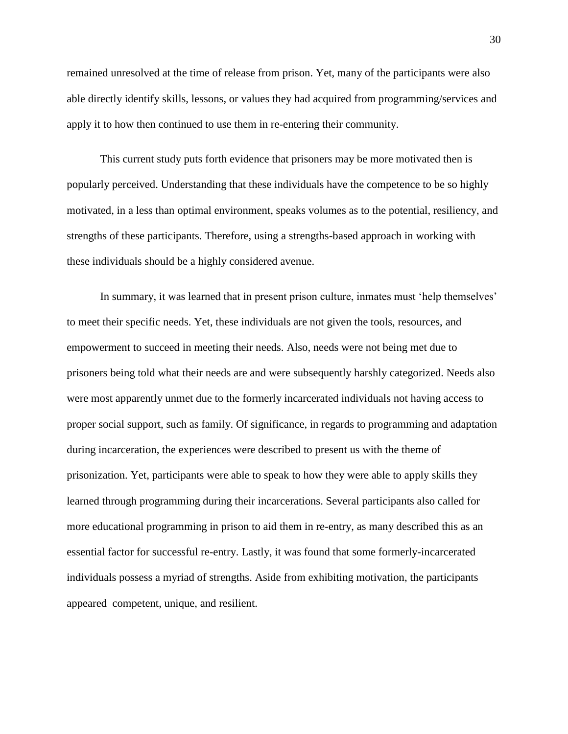remained unresolved at the time of release from prison. Yet, many of the participants were also able directly identify skills, lessons, or values they had acquired from programming/services and apply it to how then continued to use them in re-entering their community.

This current study puts forth evidence that prisoners may be more motivated then is popularly perceived. Understanding that these individuals have the competence to be so highly motivated, in a less than optimal environment, speaks volumes as to the potential, resiliency, and strengths of these participants. Therefore, using a strengths-based approach in working with these individuals should be a highly considered avenue.

In summary, it was learned that in present prison culture, inmates must 'help themselves' to meet their specific needs. Yet, these individuals are not given the tools, resources, and empowerment to succeed in meeting their needs. Also, needs were not being met due to prisoners being told what their needs are and were subsequently harshly categorized. Needs also were most apparently unmet due to the formerly incarcerated individuals not having access to proper social support, such as family. Of significance, in regards to programming and adaptation during incarceration, the experiences were described to present us with the theme of prisonization. Yet, participants were able to speak to how they were able to apply skills they learned through programming during their incarcerations. Several participants also called for more educational programming in prison to aid them in re-entry, as many described this as an essential factor for successful re-entry. Lastly, it was found that some formerly-incarcerated individuals possess a myriad of strengths. Aside from exhibiting motivation, the participants appeared competent, unique, and resilient.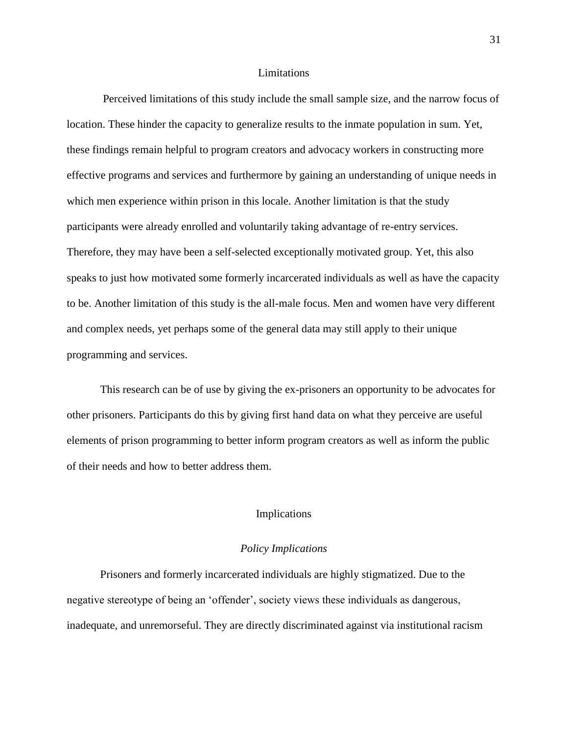#### Limitations

<span id="page-31-0"></span>Perceived limitations of this study include the small sample size, and the narrow focus of location. These hinder the capacity to generalize results to the inmate population in sum. Yet, these findings remain helpful to program creators and advocacy workers in constructing more effective programs and services and furthermore by gaining an understanding of unique needs in which men experience within prison in this locale. Another limitation is that the study participants were already enrolled and voluntarily taking advantage of re-entry services. Therefore, they may have been a self-selected exceptionally motivated group. Yet, this also speaks to just how motivated some formerly incarcerated individuals as well as have the capacity to be. Another limitation of this study is the all-male focus. Men and women have very different and complex needs, yet perhaps some of the general data may still apply to their unique programming and services.

This research can be of use by giving the ex-prisoners an opportunity to be advocates for other prisoners. Participants do this by giving first hand data on what they perceive are useful elements of prison programming to better inform program creators as well as inform the public of their needs and how to better address them.

#### Implications

#### *Policy Implications*

<span id="page-31-2"></span><span id="page-31-1"></span>Prisoners and formerly incarcerated individuals are highly stigmatized. Due to the negative stereotype of being an 'offender', society views these individuals as dangerous, inadequate, and unremorseful. They are directly discriminated against via institutional racism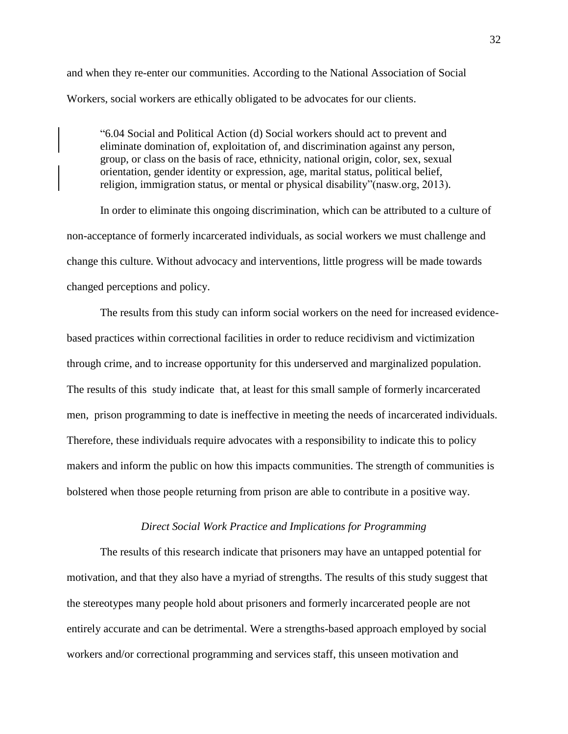and when they re-enter our communities. According to the National Association of Social Workers, social workers are ethically obligated to be advocates for our clients.

"6.04 Social and Political Action (d) Social workers should act to prevent and eliminate domination of, exploitation of, and discrimination against any person, group, or class on the basis of race, ethnicity, national origin, color, sex, sexual orientation, gender identity or expression, age, marital status, political belief, religion, immigration status, or mental or physical disability"(nasw.org, 2013).

In order to eliminate this ongoing discrimination, which can be attributed to a culture of non-acceptance of formerly incarcerated individuals, as social workers we must challenge and change this culture. Without advocacy and interventions, little progress will be made towards changed perceptions and policy.

The results from this study can inform social workers on the need for increased evidencebased practices within correctional facilities in order to reduce recidivism and victimization through crime, and to increase opportunity for this underserved and marginalized population. The results of this study indicate that, at least for this small sample of formerly incarcerated men, prison programming to date is ineffective in meeting the needs of incarcerated individuals. Therefore, these individuals require advocates with a responsibility to indicate this to policy makers and inform the public on how this impacts communities. The strength of communities is bolstered when those people returning from prison are able to contribute in a positive way.

#### *Direct Social Work Practice and Implications for Programming*

<span id="page-32-0"></span>The results of this research indicate that prisoners may have an untapped potential for motivation, and that they also have a myriad of strengths. The results of this study suggest that the stereotypes many people hold about prisoners and formerly incarcerated people are not entirely accurate and can be detrimental. Were a strengths-based approach employed by social workers and/or correctional programming and services staff, this unseen motivation and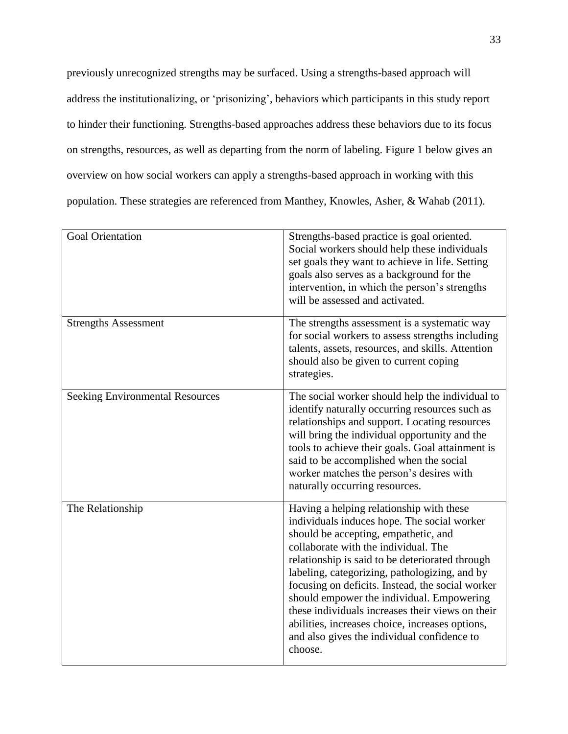previously unrecognized strengths may be surfaced. Using a strengths-based approach will address the institutionalizing, or 'prisonizing', behaviors which participants in this study report to hinder their functioning. Strengths-based approaches address these behaviors due to its focus on strengths, resources, as well as departing from the norm of labeling. Figure 1 below gives an overview on how social workers can apply a strengths-based approach in working with this population. These strategies are referenced from Manthey, Knowles, Asher, & Wahab (2011).

| <b>Goal Orientation</b>                | Strengths-based practice is goal oriented.<br>Social workers should help these individuals<br>set goals they want to achieve in life. Setting<br>goals also serves as a background for the<br>intervention, in which the person's strengths<br>will be assessed and activated.                                                                                                                                                                                                                                                                |
|----------------------------------------|-----------------------------------------------------------------------------------------------------------------------------------------------------------------------------------------------------------------------------------------------------------------------------------------------------------------------------------------------------------------------------------------------------------------------------------------------------------------------------------------------------------------------------------------------|
| <b>Strengths Assessment</b>            | The strengths assessment is a systematic way<br>for social workers to assess strengths including<br>talents, assets, resources, and skills. Attention<br>should also be given to current coping<br>strategies.                                                                                                                                                                                                                                                                                                                                |
| <b>Seeking Environmental Resources</b> | The social worker should help the individual to<br>identify naturally occurring resources such as<br>relationships and support. Locating resources<br>will bring the individual opportunity and the<br>tools to achieve their goals. Goal attainment is<br>said to be accomplished when the social<br>worker matches the person's desires with<br>naturally occurring resources.                                                                                                                                                              |
| The Relationship                       | Having a helping relationship with these<br>individuals induces hope. The social worker<br>should be accepting, empathetic, and<br>collaborate with the individual. The<br>relationship is said to be deteriorated through<br>labeling, categorizing, pathologizing, and by<br>focusing on deficits. Instead, the social worker<br>should empower the individual. Empowering<br>these individuals increases their views on their<br>abilities, increases choice, increases options,<br>and also gives the individual confidence to<br>choose. |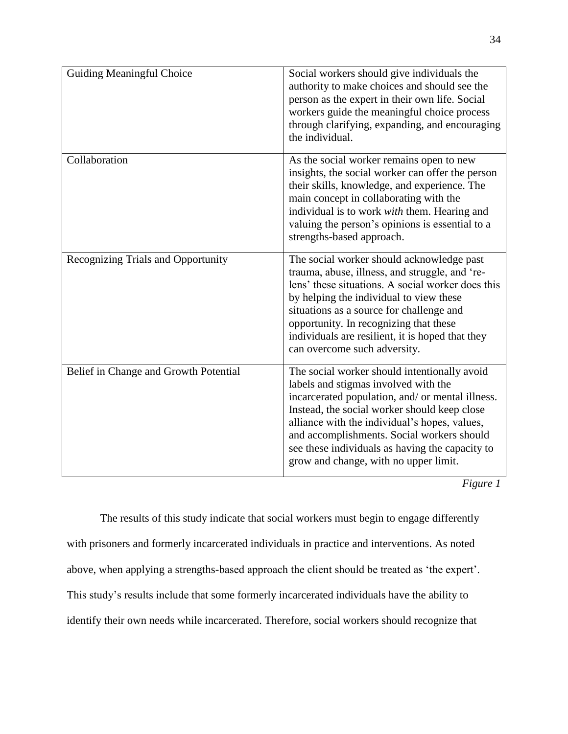| <b>Guiding Meaningful Choice</b>      | Social workers should give individuals the<br>authority to make choices and should see the<br>person as the expert in their own life. Social<br>workers guide the meaningful choice process<br>through clarifying, expanding, and encouraging<br>the individual.                                                                                                                    |
|---------------------------------------|-------------------------------------------------------------------------------------------------------------------------------------------------------------------------------------------------------------------------------------------------------------------------------------------------------------------------------------------------------------------------------------|
| Collaboration                         | As the social worker remains open to new<br>insights, the social worker can offer the person<br>their skills, knowledge, and experience. The<br>main concept in collaborating with the<br>individual is to work with them. Hearing and<br>valuing the person's opinions is essential to a<br>strengths-based approach.                                                              |
| Recognizing Trials and Opportunity    | The social worker should acknowledge past<br>trauma, abuse, illness, and struggle, and 're-<br>lens' these situations. A social worker does this<br>by helping the individual to view these<br>situations as a source for challenge and<br>opportunity. In recognizing that these<br>individuals are resilient, it is hoped that they<br>can overcome such adversity.               |
| Belief in Change and Growth Potential | The social worker should intentionally avoid<br>labels and stigmas involved with the<br>incarcerated population, and/ or mental illness.<br>Instead, the social worker should keep close<br>alliance with the individual's hopes, values,<br>and accomplishments. Social workers should<br>see these individuals as having the capacity to<br>grow and change, with no upper limit. |

*Figure 1*

The results of this study indicate that social workers must begin to engage differently with prisoners and formerly incarcerated individuals in practice and interventions. As noted above, when applying a strengths-based approach the client should be treated as 'the expert'. This study's results include that some formerly incarcerated individuals have the ability to identify their own needs while incarcerated. Therefore, social workers should recognize that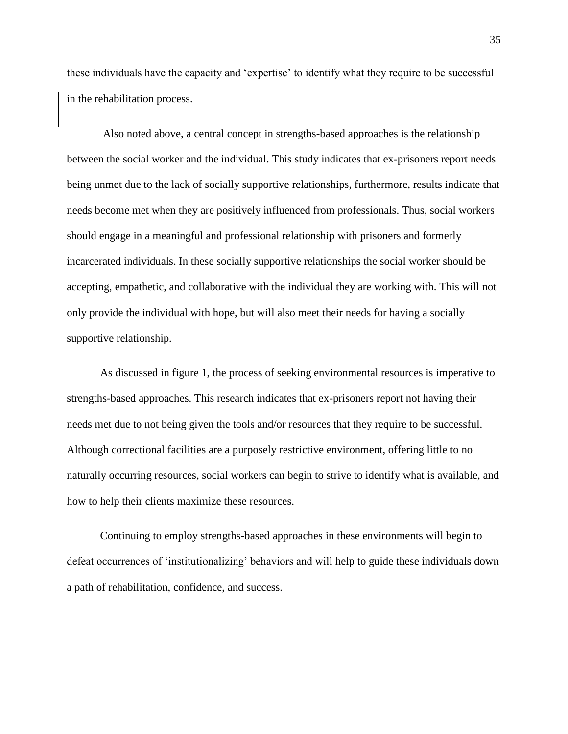these individuals have the capacity and 'expertise' to identify what they require to be successful in the rehabilitation process.

Also noted above, a central concept in strengths-based approaches is the relationship between the social worker and the individual. This study indicates that ex-prisoners report needs being unmet due to the lack of socially supportive relationships, furthermore, results indicate that needs become met when they are positively influenced from professionals. Thus, social workers should engage in a meaningful and professional relationship with prisoners and formerly incarcerated individuals. In these socially supportive relationships the social worker should be accepting, empathetic, and collaborative with the individual they are working with. This will not only provide the individual with hope, but will also meet their needs for having a socially supportive relationship.

As discussed in figure 1, the process of seeking environmental resources is imperative to strengths-based approaches. This research indicates that ex-prisoners report not having their needs met due to not being given the tools and/or resources that they require to be successful. Although correctional facilities are a purposely restrictive environment, offering little to no naturally occurring resources, social workers can begin to strive to identify what is available, and how to help their clients maximize these resources.

Continuing to employ strengths-based approaches in these environments will begin to defeat occurrences of 'institutionalizing' behaviors and will help to guide these individuals down a path of rehabilitation, confidence, and success.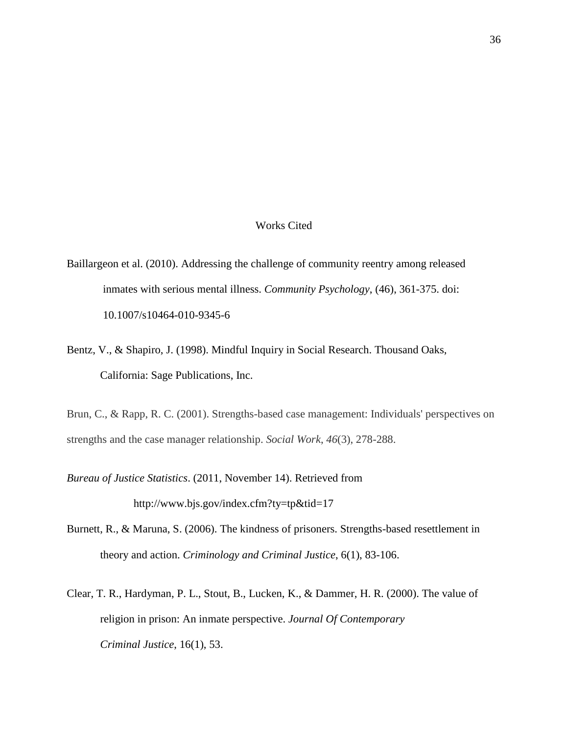## Works Cited

- <span id="page-36-0"></span>Baillargeon et al. (2010). Addressing the challenge of community reentry among released inmates with serious mental illness. *Community Psychology*, (46), 361-375. doi: 10.1007/s10464-010-9345-6
- Bentz, V., & Shapiro, J. (1998). Mindful Inquiry in Social Research. Thousand Oaks, California: Sage Publications, Inc.

Brun, C., & Rapp, R. C. (2001). Strengths-based case management: Individuals' perspectives on strengths and the case manager relationship. *Social Work*, *46*(3), 278-288.

*Bureau of Justice Statistics*. (2011, November 14). Retrieved from http://www.bjs.gov/index.cfm?ty=tp&tid=17

- Burnett, R., & Maruna, S. (2006). The kindness of prisoners. Strengths-based resettlement in theory and action. *Criminology and Criminal Justice*, 6(1), 83-106.
- Clear, T. R., Hardyman, P. L., Stout, B., Lucken, K., & Dammer, H. R. (2000). The value of religion in prison: An inmate perspective. *Journal Of Contemporary Criminal Justice*, 16(1), 53.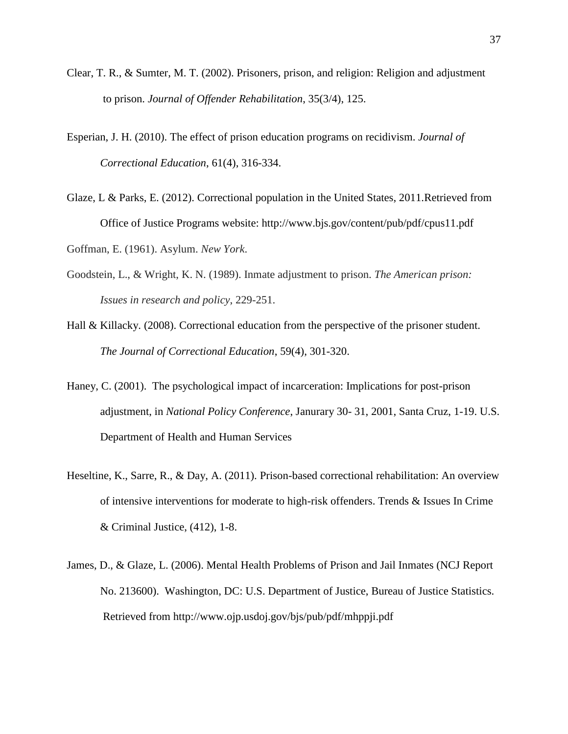- Clear, T. R., & Sumter, M. T. (2002). Prisoners, prison, and religion: Religion and adjustment to prison. *Journal of Offender Rehabilitation*, 35(3/4), 125.
- Esperian, J. H. (2010). The effect of prison education programs on recidivism. *Journal of Correctional Education*, 61(4), 316-334.
- Glaze, L & Parks, E. (2012). Correctional population in the United States, 2011.Retrieved from Office of Justice Programs website: http://www.bjs.gov/content/pub/pdf/cpus11.pdf
- Goffman, E. (1961). Asylum. *New York*.
- Goodstein, L., & Wright, K. N. (1989). Inmate adjustment to prison. *The American prison: Issues in research and policy*, 229-251.
- Hall & Killacky. (2008). Correctional education from the perspective of the prisoner student. *The Journal of Correctional Education*, 59(4), 301-320.
- Haney, C. (2001). The psychological impact of incarceration: Implications for post-prison adjustment, in *National Policy Conference*, Janurary 30- 31, 2001, Santa Cruz, 1-19. U.S. Department of Health and Human Services
- Heseltine, K., Sarre, R., & Day, A. (2011). Prison-based correctional rehabilitation: An overview of intensive interventions for moderate to high-risk offenders. Trends & Issues In Crime & Criminal Justice, (412), 1-8.
- James, D., & Glaze, L. (2006). Mental Health Problems of Prison and Jail Inmates (NCJ Report No. 213600). Washington, DC: U.S. Department of Justice, Bureau of Justice Statistics. Retrieved from http://www.ojp.usdoj.gov/bjs/pub/pdf/mhppji.pdf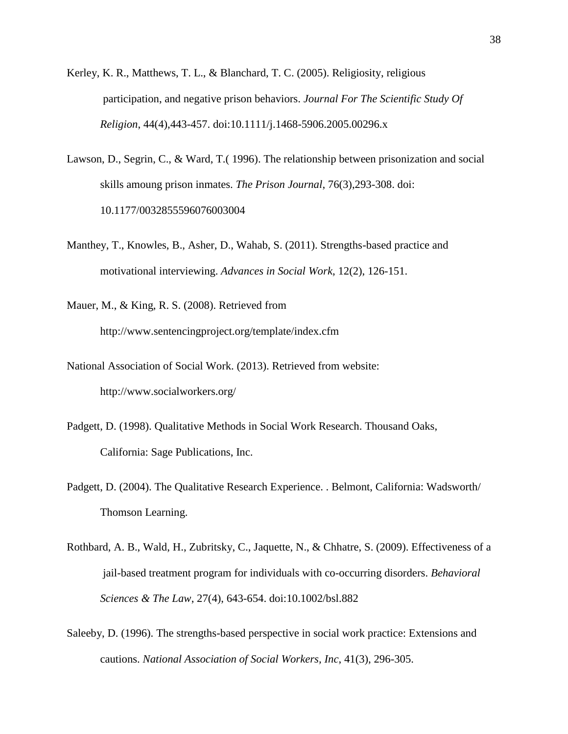- Kerley, K. R., Matthews, T. L., & Blanchard, T. C. (2005). Religiosity, religious participation, and negative prison behaviors. *Journal For The Scientific Study Of Religion*, 44(4),443-457. doi:10.1111/j.1468-5906.2005.00296.x
- Lawson, D., Segrin, C., & Ward, T.( 1996). The relationship between prisonization and social skills amoung prison inmates. *The Prison Journal*, 76(3),293-308. doi: 10.1177/0032855596076003004
- Manthey, T., Knowles, B., Asher, D., Wahab, S. (2011). Strengths-based practice and motivational interviewing. *Advances in Social Work*, 12(2), 126-151.

Mauer, M., & King, R. S. (2008). Retrieved from <http://www.sentencingproject.org/template/index.cfm>

- National Association of Social Work. (2013). Retrieved from website: http://www.socialworkers.org/
- Padgett, D. (1998). Qualitative Methods in Social Work Research. Thousand Oaks, California: Sage Publications, Inc.
- Padgett, D. (2004). The Qualitative Research Experience. . Belmont, California: Wadsworth/ Thomson Learning.
- Rothbard, A. B., Wald, H., Zubritsky, C., Jaquette, N., & Chhatre, S. (2009). Effectiveness of a jail-based treatment program for individuals with co-occurring disorders. *Behavioral Sciences & The Law*, 27(4), 643-654. doi:10.1002/bsl.882
- Saleeby, D. (1996). The strengths-based perspective in social work practice: Extensions and cautions. *National Association of Social Workers, Inc*, 41(3), 296-305.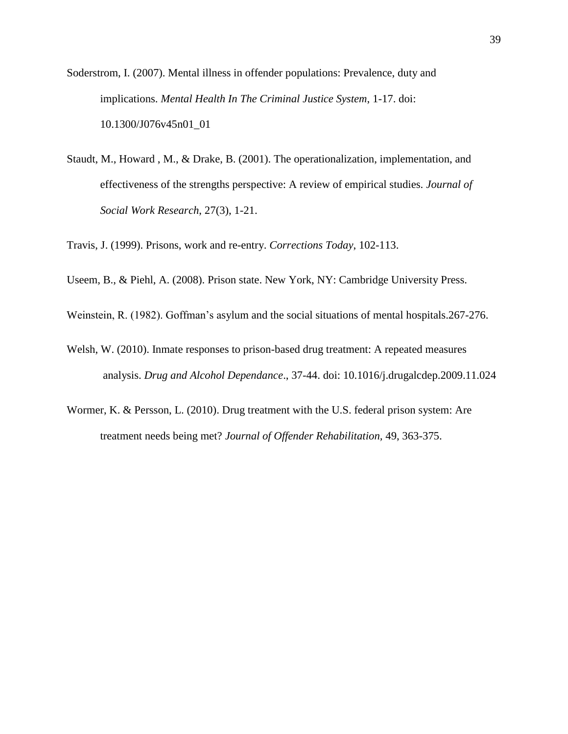Soderstrom, I. (2007). Mental illness in offender populations: Prevalence, duty and implications. *Mental Health In The Criminal Justice System*, 1-17. doi: 10.1300/J076v45n01\_01

Staudt, M., Howard , M., & Drake, B. (2001). The operationalization, implementation, and effectiveness of the strengths perspective: A review of empirical studies. *Journal of Social Work Research*, 27(3), 1-21.

Travis, J. (1999). Prisons, work and re-entry. *Corrections Today*, 102-113.

- Useem, B., & Piehl, A. (2008). Prison state. New York, NY: Cambridge University Press.
- Weinstein, R. (1982). Goffman's asylum and the social situations of mental hospitals.267-276.
- Welsh, W. (2010). Inmate responses to prison-based drug treatment: A repeated measures analysis. *Drug and Alcohol Dependance*., 37-44. doi: 10.1016/j.drugalcdep.2009.11.024
- Wormer, K. & Persson, L. (2010). Drug treatment with the U.S. federal prison system: Are treatment needs being met? *Journal of Offender Rehabilitation,* 49, 363-375.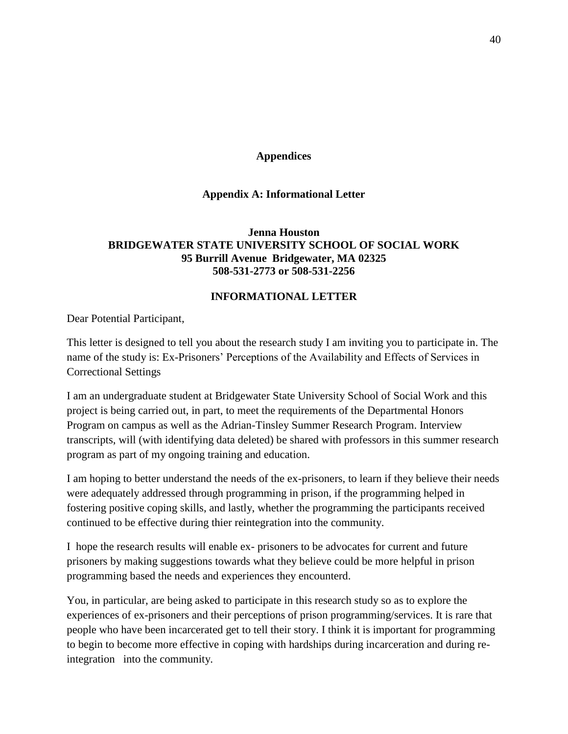## **Appendices**

## **Appendix A: Informational Letter**

## <span id="page-40-1"></span><span id="page-40-0"></span>**Jenna Houston BRIDGEWATER STATE UNIVERSITY SCHOOL OF SOCIAL WORK 95 Burrill Avenue Bridgewater, MA 02325 508-531-2773 or 508-531-2256**

#### **INFORMATIONAL LETTER**

Dear Potential Participant,

This letter is designed to tell you about the research study I am inviting you to participate in. The name of the study is: Ex-Prisoners' Perceptions of the Availability and Effects of Services in Correctional Settings

I am an undergraduate student at Bridgewater State University School of Social Work and this project is being carried out, in part, to meet the requirements of the Departmental Honors Program on campus as well as the Adrian-Tinsley Summer Research Program. Interview transcripts, will (with identifying data deleted) be shared with professors in this summer research program as part of my ongoing training and education.

I am hoping to better understand the needs of the ex-prisoners, to learn if they believe their needs were adequately addressed through programming in prison, if the programming helped in fostering positive coping skills, and lastly, whether the programming the participants received continued to be effective during thier reintegration into the community.

I hope the research results will enable ex- prisoners to be advocates for current and future prisoners by making suggestions towards what they believe could be more helpful in prison programming based the needs and experiences they encounterd.

You, in particular, are being asked to participate in this research study so as to explore the experiences of ex-prisoners and their perceptions of prison programming/services. It is rare that people who have been incarcerated get to tell their story. I think it is important for programming to begin to become more effective in coping with hardships during incarceration and during reintegration into the community.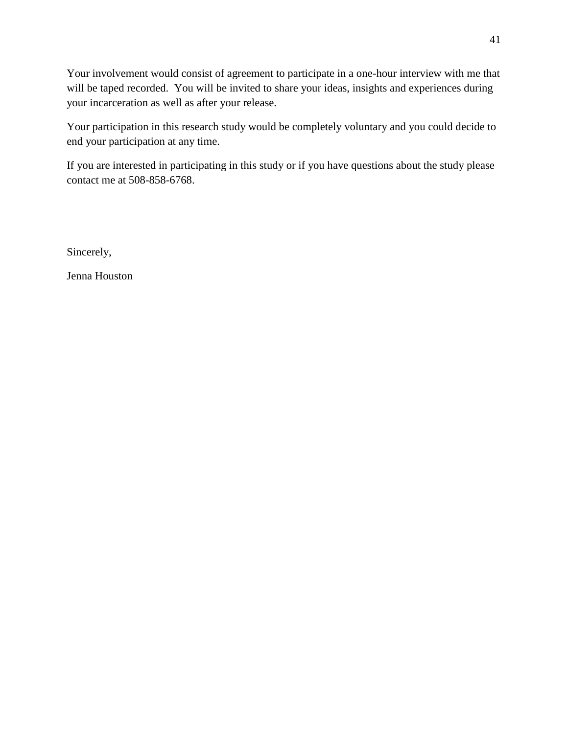Your involvement would consist of agreement to participate in a one-hour interview with me that will be taped recorded. You will be invited to share your ideas, insights and experiences during your incarceration as well as after your release.

Your participation in this research study would be completely voluntary and you could decide to end your participation at any time.

If you are interested in participating in this study or if you have questions about the study please contact me at 508-858-6768.

Sincerely,

Jenna Houston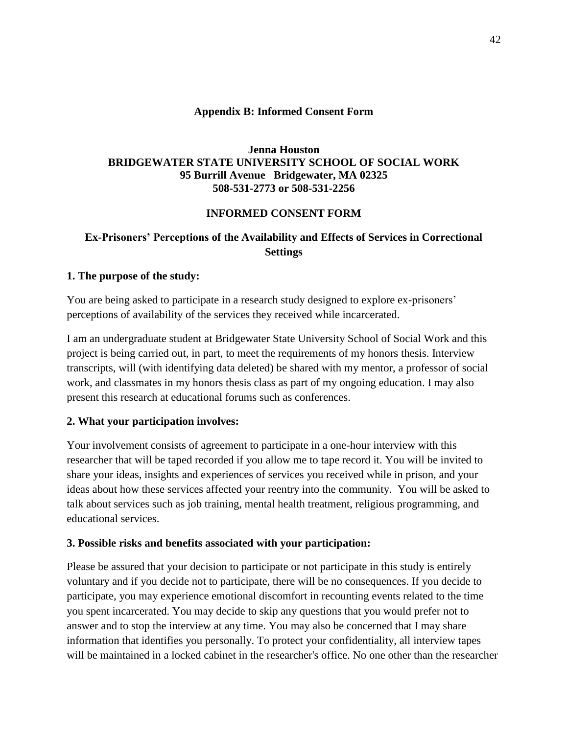## **Appendix B: Informed Consent Form**

## <span id="page-42-0"></span>**Jenna Houston BRIDGEWATER STATE UNIVERSITY SCHOOL OF SOCIAL WORK 95 Burrill Avenue Bridgewater, MA 02325 508-531-2773 or 508-531-2256**

## **INFORMED CONSENT FORM**

## **Ex-Prisoners' Perceptions of the Availability and Effects of Services in Correctional Settings**

## **1. The purpose of the study:**

You are being asked to participate in a research study designed to explore ex-prisoners' perceptions of availability of the services they received while incarcerated.

I am an undergraduate student at Bridgewater State University School of Social Work and this project is being carried out, in part, to meet the requirements of my honors thesis. Interview transcripts, will (with identifying data deleted) be shared with my mentor, a professor of social work, and classmates in my honors thesis class as part of my ongoing education. I may also present this research at educational forums such as conferences.

## **2. What your participation involves:**

Your involvement consists of agreement to participate in a one-hour interview with this researcher that will be taped recorded if you allow me to tape record it. You will be invited to share your ideas, insights and experiences of services you received while in prison, and your ideas about how these services affected your reentry into the community. You will be asked to talk about services such as job training, mental health treatment, religious programming, and educational services.

## **3. Possible risks and benefits associated with your participation:**

Please be assured that your decision to participate or not participate in this study is entirely voluntary and if you decide not to participate, there will be no consequences. If you decide to participate, you may experience emotional discomfort in recounting events related to the time you spent incarcerated. You may decide to skip any questions that you would prefer not to answer and to stop the interview at any time. You may also be concerned that I may share information that identifies you personally. To protect your confidentiality, all interview tapes will be maintained in a locked cabinet in the researcher's office. No one other than the researcher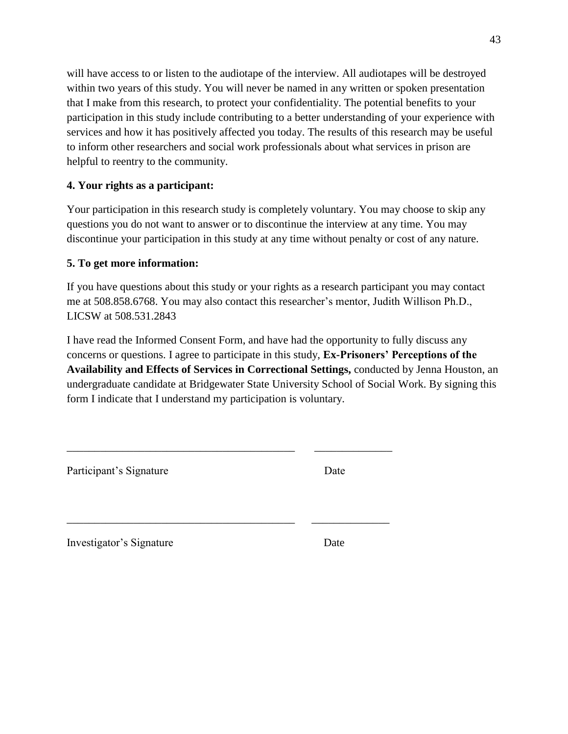will have access to or listen to the audiotape of the interview. All audiotapes will be destroyed within two years of this study. You will never be named in any written or spoken presentation that I make from this research, to protect your confidentiality. The potential benefits to your participation in this study include contributing to a better understanding of your experience with services and how it has positively affected you today. The results of this research may be useful to inform other researchers and social work professionals about what services in prison are helpful to reentry to the community.

## **4. Your rights as a participant:**

Your participation in this research study is completely voluntary. You may choose to skip any questions you do not want to answer or to discontinue the interview at any time. You may discontinue your participation in this study at any time without penalty or cost of any nature.

## **5. To get more information:**

If you have questions about this study or your rights as a research participant you may contact me at 508.858.6768. You may also contact this researcher's mentor, Judith Willison Ph.D., LICSW at 508.531.2843

I have read the Informed Consent Form, and have had the opportunity to fully discuss any concerns or questions. I agree to participate in this study, **Ex-Prisoners' Perceptions of the Availability and Effects of Services in Correctional Settings,** conducted by Jenna Houston, an undergraduate candidate at Bridgewater State University School of Social Work. By signing this form I indicate that I understand my participation is voluntary.

| Date<br>Date |
|--------------|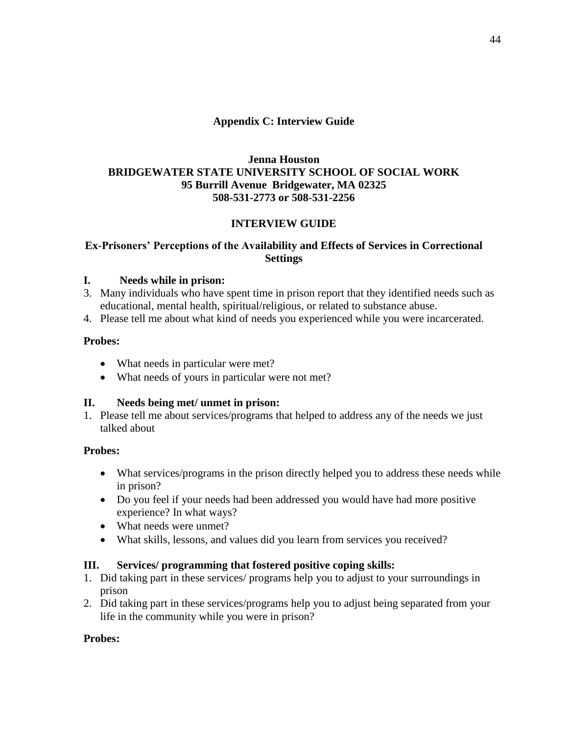## **Appendix C: Interview Guide**

## <span id="page-44-0"></span>**Jenna Houston BRIDGEWATER STATE UNIVERSITY SCHOOL OF SOCIAL WORK 95 Burrill Avenue Bridgewater, MA 02325 508-531-2773 or 508-531-2256**

## **INTERVIEW GUIDE**

## **Ex-Prisoners' Perceptions of the Availability and Effects of Services in Correctional Settings**

## **I. Needs while in prison:**

- 3. Many individuals who have spent time in prison report that they identified needs such as educational, mental health, spiritual/religious, or related to substance abuse.
- 4. Please tell me about what kind of needs you experienced while you were incarcerated.

## **Probes:**

- What needs in particular were met?
- What needs of yours in particular were not met?

## **II. Needs being met/ unmet in prison:**

1. Please tell me about services/programs that helped to address any of the needs we just talked about

## **Probes:**

- What services/programs in the prison directly helped you to address these needs while in prison?
- Do you feel if your needs had been addressed you would have had more positive experience? In what ways?
- What needs were unmet?
- What skills, lessons, and values did you learn from services you received?

## **III. Services/ programming that fostered positive coping skills:**

- 1. Did taking part in these services/ programs help you to adjust to your surroundings in prison
- 2. Did taking part in these services/programs help you to adjust being separated from your life in the community while you were in prison?

## **Probes:**